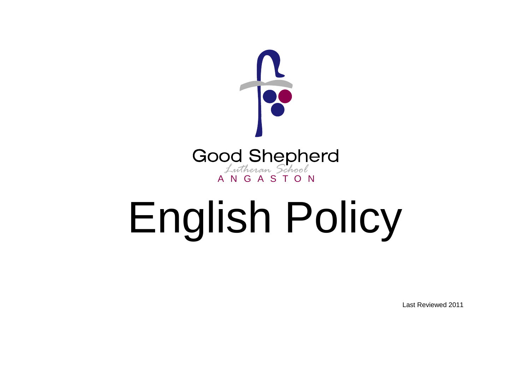

# *Lutheran School* A N G A S T O N

# English Policy

Last Reviewed 2011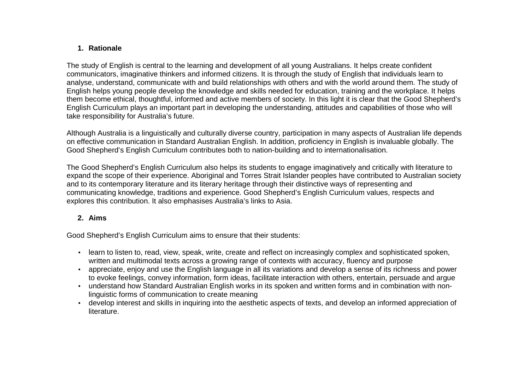# **1. Rationale**

The study of English is central to the learning and development of all young Australians. It helps create confident communicators, imaginative thinkers and informed citizens. It is through the study of English that individuals learn to analyse, understand, communicate with and build relationships with others and with the world around them. The study of English helps young people develop the knowledge and skills needed for education, training and the workplace. It helps them become ethical, thoughtful, informed and active members of society. In this light it is clear that the Good Shepherd's English Curriculum plays an important part in developing the understanding, attitudes and capabilities of those who will take responsibility for Australia's future.

Although Australia is a linguistically and culturally diverse country, participation in many aspects of Australian life depends on effective communication in Standard Australian English. In addition, proficiency in English is invaluable globally. The Good Shepherd's English Curriculum contributes both to nation-building and to internationalisation.

The Good Shepherd's English Curriculum also helps its students to engage imaginatively and critically with literature to expand the scope of their experience. Aboriginal and Torres Strait Islander peoples have contributed to Australian society and to its contemporary literature and its literary heritage through their distinctive ways of representing and communicating knowledge, traditions and experience. Good Shepherd's English Curriculum values, respects and explores this contribution. It also emphasises Australia's links to Asia.

# **2. Aims**

Good Shepherd's English Curriculum aims to ensure that their students:

- learn to listen to, read, view, speak, write, create and reflect on increasingly complex and sophisticated spoken, written and multimodal texts across a growing range of contexts with accuracy, fluency and purpose
- appreciate, enjoy and use the English language in all its variations and develop a sense of its richness and power to evoke feelings, convey information, form ideas, facilitate interaction with others, entertain, persuade and argue
- understand how Standard Australian English works in its spoken and written forms and in combination with nonlinguistic forms of communication to create meaning
- develop interest and skills in inquiring into the aesthetic aspects of texts, and develop an informed appreciation of literature.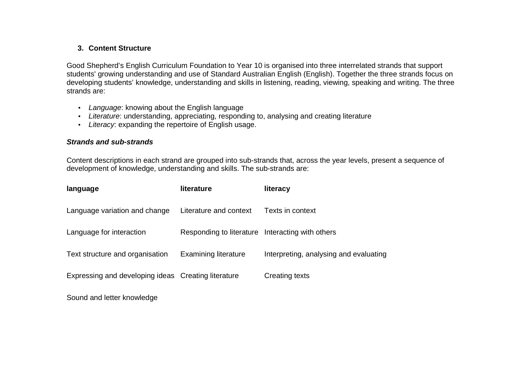# **3. Content Structure**

Good Shepherd's English Curriculum Foundation to Year 10 is organised into three interrelated strands that support students' growing understanding and use of Standard Australian English (English). Together the three strands focus on developing students' knowledge, understanding and skills in listening, reading, viewing, speaking and writing. The three strands are:

- Language: knowing about the English language
- Literature: understanding, appreciating, responding to, analysing and creating literature
- Literacy: expanding the repertoire of English usage.

# **Strands and sub-strands**

Content descriptions in each strand are grouped into sub-strands that, across the year levels, present a sequence of development of knowledge, understanding and skills. The sub-strands are:

| language                                            | literature                                       | literacy                               |
|-----------------------------------------------------|--------------------------------------------------|----------------------------------------|
| Language variation and change                       | Literature and context                           | Texts in context                       |
| Language for interaction                            | Responding to literature Interacting with others |                                        |
| Text structure and organisation                     | <b>Examining literature</b>                      | Interpreting, analysing and evaluating |
| Expressing and developing ideas Creating literature |                                                  | Creating texts                         |
| Sound and letter knowledge                          |                                                  |                                        |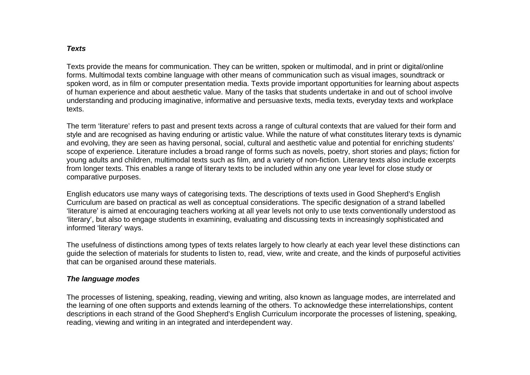#### **Texts**

Texts provide the means for communication. They can be written, spoken or multimodal, and in print or digital/online forms. Multimodal texts combine language with other means of communication such as visual images, soundtrack or spoken word, as in film or computer presentation media. Texts provide important opportunities for learning about aspects of human experience and about aesthetic value. Many of the tasks that students undertake in and out of school involve understanding and producing imaginative, informative and persuasive texts, media texts, everyday texts and workplace texts.

The term 'literature' refers to past and present texts across a range of cultural contexts that are valued for their form and style and are recognised as having enduring or artistic value. While the nature of what constitutes literary texts is dynamic and evolving, they are seen as having personal, social, cultural and aesthetic value and potential for enriching students' scope of experience. Literature includes a broad range of forms such as novels, poetry, short stories and plays; fiction for young adults and children, multimodal texts such as film, and a variety of non-fiction. Literary texts also include excerpts from longer texts. This enables a range of literary texts to be included within any one year level for close study or comparative purposes.

English educators use many ways of categorising texts. The descriptions of texts used in Good Shepherd's English Curriculum are based on practical as well as conceptual considerations. The specific designation of a strand labelled 'literature' is aimed at encouraging teachers working at all year levels not only to use texts conventionally understood as 'literary', but also to engage students in examining, evaluating and discussing texts in increasingly sophisticated and informed 'literary' ways.

The usefulness of distinctions among types of texts relates largely to how clearly at each year level these distinctions can guide the selection of materials for students to listen to, read, view, write and create, and the kinds of purposeful activities that can be organised around these materials.

#### **The language modes**

The processes of listening, speaking, reading, viewing and writing, also known as language modes, are interrelated and the learning of one often supports and extends learning of the others. To acknowledge these interrelationships, content descriptions in each strand of the Good Shepherd's English Curriculum incorporate the processes of listening, speaking, reading, viewing and writing in an integrated and interdependent way.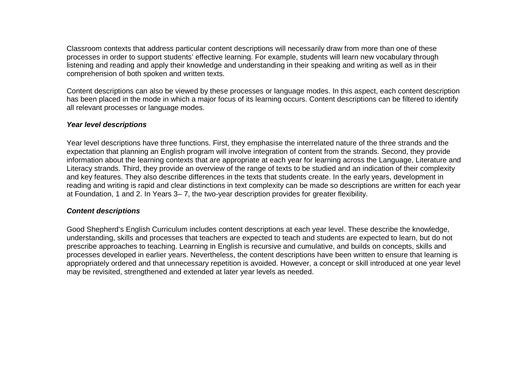Classroom contexts that address particular content descriptions will necessarily draw from more than one of these processes in order to support students' effective learning. For example, students will learn new vocabulary through listening and reading and apply their knowledge and understanding in their speaking and writing as well as in their comprehension of both spoken and written texts.

Content descriptions can also be viewed by these processes or language modes. In this aspect, each content description has been placed in the mode in which a major focus of its learning occurs. Content descriptions can be filtered to identify all relevant processes or language modes.

#### **Year level descriptions**

Year level descriptions have three functions. First, they emphasise the interrelated nature of the three strands and the expectation that planning an English program will involve integration of content from the strands. Second, they provide information about the learning contexts that are appropriate at each year for learning across the Language, Literature and Literacy strands. Third, they provide an overview of the range of texts to be studied and an indication of their complexity and key features. They also describe differences in the texts that students create. In the early years, development in reading and writing is rapid and clear distinctions in text complexity can be made so descriptions are written for each year at Foundation, 1 and 2. In Years 3– 7, the two-year description provides for greater flexibility.

# **Content descriptions**

Good Shepherd's English Curriculum includes content descriptions at each year level. These describe the knowledge, understanding, skills and processes that teachers are expected to teach and students are expected to learn, but do not prescribe approaches to teaching. Learning in English is recursive and cumulative, and builds on concepts, skills and processes developed in earlier years. Nevertheless, the content descriptions have been written to ensure that learning is appropriately ordered and that unnecessary repetition is avoided. However, a concept or skill introduced at one year level may be revisited, strengthened and extended at later year levels as needed.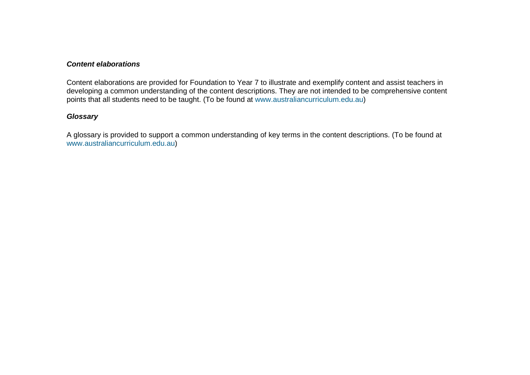# **Content elaborations**

Content elaborations are provided for Foundation to Year 7 to illustrate and exemplify content and assist teachers in developing a common understanding of the content descriptions. They are not intended to be comprehensive content points that all students need to be taught. (To be found at www.australiancurriculum.edu.au)

# **Glossary**

A glossary is provided to support a common understanding of key terms in the content descriptions. (To be found at www.australiancurriculum.edu.au)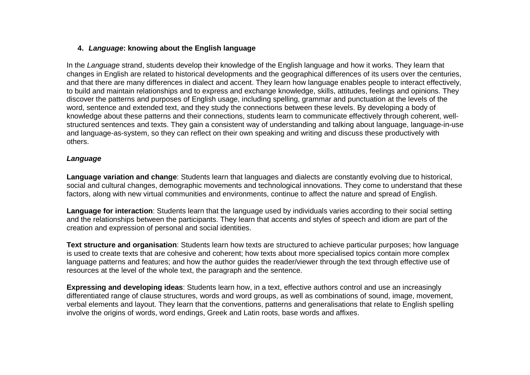# **4. Language: knowing about the English language**

In the Language strand, students develop their knowledge of the English language and how it works. They learn that changes in English are related to historical developments and the geographical differences of its users over the centuries, and that there are many differences in dialect and accent. They learn how language enables people to interact effectively, to build and maintain relationships and to express and exchange knowledge, skills, attitudes, feelings and opinions. They discover the patterns and purposes of English usage, including spelling, grammar and punctuation at the levels of the word, sentence and extended text, and they study the connections between these levels. By developing a body of knowledge about these patterns and their connections, students learn to communicate effectively through coherent, wellstructured sentences and texts. They gain a consistent way of understanding and talking about language, language-in-use and language-as-system, so they can reflect on their own speaking and writing and discuss these productively with others.

# **Language**

**Language variation and change**: Students learn that languages and dialects are constantly evolving due to historical, social and cultural changes, demographic movements and technological innovations. They come to understand that these factors, along with new virtual communities and environments, continue to affect the nature and spread of English.

**Language for interaction**: Students learn that the language used by individuals varies according to their social setting and the relationships between the participants. They learn that accents and styles of speech and idiom are part of the creation and expression of personal and social identities.

**Text structure and organisation**: Students learn how texts are structured to achieve particular purposes; how language is used to create texts that are cohesive and coherent; how texts about more specialised topics contain more complex language patterns and features; and how the author guides the reader/viewer through the text through effective use of resources at the level of the whole text, the paragraph and the sentence.

**Expressing and developing ideas**: Students learn how, in a text, effective authors control and use an increasingly differentiated range of clause structures, words and word groups, as well as combinations of sound, image, movement, verbal elements and layout. They learn that the conventions, patterns and generalisations that relate to English spelling involve the origins of words, word endings, Greek and Latin roots, base words and affixes.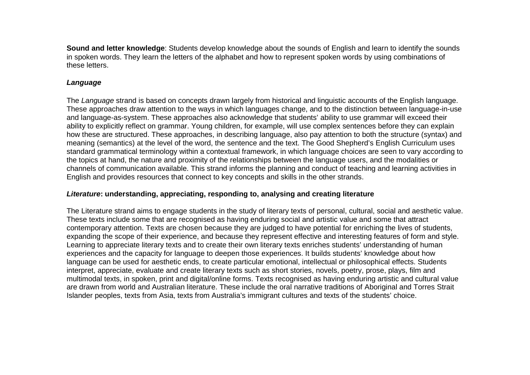**Sound and letter knowledge**: Students develop knowledge about the sounds of English and learn to identify the sounds in spoken words. They learn the letters of the alphabet and how to represent spoken words by using combinations of these letters.

# **Language**

The Language strand is based on concepts drawn largely from historical and linguistic accounts of the English language. These approaches draw attention to the ways in which languages change, and to the distinction between language-in-use and language-as-system. These approaches also acknowledge that students' ability to use grammar will exceed their ability to explicitly reflect on grammar. Young children, for example, will use complex sentences before they can explain how these are structured. These approaches, in describing language, also pay attention to both the structure (syntax) and meaning (semantics) at the level of the word, the sentence and the text. The Good Shepherd's English Curriculum uses standard grammatical terminology within a contextual framework, in which language choices are seen to vary according to the topics at hand, the nature and proximity of the relationships between the language users, and the modalities or channels of communication available. This strand informs the planning and conduct of teaching and learning activities in English and provides resources that connect to key concepts and skills in the other strands.

#### **Literature: understanding, appreciating, responding to, analysing and creating literature**

The Literature strand aims to engage students in the study of literary texts of personal, cultural, social and aesthetic value. These texts include some that are recognised as having enduring social and artistic value and some that attract contemporary attention. Texts are chosen because they are judged to have potential for enriching the lives of students, expanding the scope of their experience, and because they represent effective and interesting features of form and style. Learning to appreciate literary texts and to create their own literary texts enriches students' understanding of human experiences and the capacity for language to deepen those experiences. It builds students' knowledge about how language can be used for aesthetic ends, to create particular emotional, intellectual or philosophical effects. Students interpret, appreciate, evaluate and create literary texts such as short stories, novels, poetry, prose, plays, film and multimodal texts, in spoken, print and digital/online forms. Texts recognised as having enduring artistic and cultural value are drawn from world and Australian literature. These include the oral narrative traditions of Aboriginal and Torres Strait Islander peoples, texts from Asia, texts from Australia's immigrant cultures and texts of the students' choice.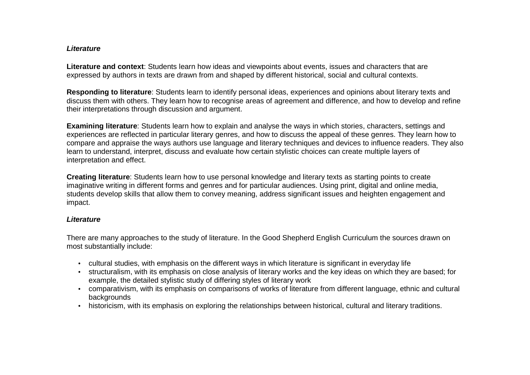# **Literature**

**Literature and context**: Students learn how ideas and viewpoints about events, issues and characters that are expressed by authors in texts are drawn from and shaped by different historical, social and cultural contexts.

**Responding to literature**: Students learn to identify personal ideas, experiences and opinions about literary texts and discuss them with others. They learn how to recognise areas of agreement and difference, and how to develop and refine their interpretations through discussion and argument.

**Examining literature**: Students learn how to explain and analyse the ways in which stories, characters, settings and experiences are reflected in particular literary genres, and how to discuss the appeal of these genres. They learn how to compare and appraise the ways authors use language and literary techniques and devices to influence readers. They also learn to understand, interpret, discuss and evaluate how certain stylistic choices can create multiple layers of interpretation and effect.

**Creating literature**: Students learn how to use personal knowledge and literary texts as starting points to create imaginative writing in different forms and genres and for particular audiences. Using print, digital and online media, students develop skills that allow them to convey meaning, address significant issues and heighten engagement and impact.

# **Literature**

There are many approaches to the study of literature. In the Good Shepherd English Curriculum the sources drawn on most substantially include:

- cultural studies, with emphasis on the different ways in which literature is significant in everyday life
- structuralism, with its emphasis on close analysis of literary works and the key ideas on which they are based; for example, the detailed stylistic study of differing styles of literary work
- comparativism, with its emphasis on comparisons of works of literature from different language, ethnic and cultural backgrounds
- historicism, with its emphasis on exploring the relationships between historical, cultural and literary traditions.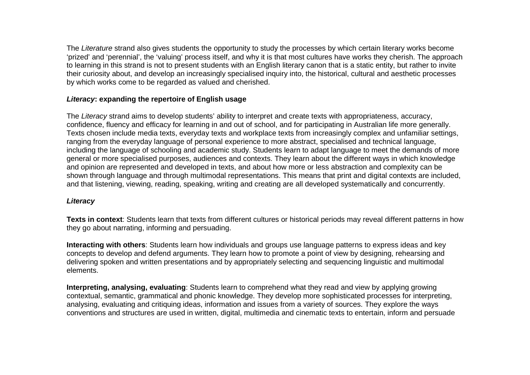The Literature strand also gives students the opportunity to study the processes by which certain literary works become 'prized' and 'perennial', the 'valuing' process itself, and why it is that most cultures have works they cherish. The approach to learning in this strand is not to present students with an English literary canon that is a static entity, but rather to invite their curiosity about, and develop an increasingly specialised inquiry into, the historical, cultural and aesthetic processes by which works come to be regarded as valued and cherished.

# **Literacy: expanding the repertoire of English usage**

The Literacy strand aims to develop students' ability to interpret and create texts with appropriateness, accuracy, confidence, fluency and efficacy for learning in and out of school, and for participating in Australian life more generally. Texts chosen include media texts, everyday texts and workplace texts from increasingly complex and unfamiliar settings, ranging from the everyday language of personal experience to more abstract, specialised and technical language, including the language of schooling and academic study. Students learn to adapt language to meet the demands of more general or more specialised purposes, audiences and contexts. They learn about the different ways in which knowledge and opinion are represented and developed in texts, and about how more or less abstraction and complexity can be shown through language and through multimodal representations. This means that print and digital contexts are included, and that listening, viewing, reading, speaking, writing and creating are all developed systematically and concurrently.

# **Literacy**

**Texts in context**: Students learn that texts from different cultures or historical periods may reveal different patterns in how they go about narrating, informing and persuading.

**Interacting with others**: Students learn how individuals and groups use language patterns to express ideas and key concepts to develop and defend arguments. They learn how to promote a point of view by designing, rehearsing and delivering spoken and written presentations and by appropriately selecting and sequencing linguistic and multimodal elements.

**Interpreting, analysing, evaluating**: Students learn to comprehend what they read and view by applying growing contextual, semantic, grammatical and phonic knowledge. They develop more sophisticated processes for interpreting, analysing, evaluating and critiquing ideas, information and issues from a variety of sources. They explore the ways conventions and structures are used in written, digital, multimedia and cinematic texts to entertain, inform and persuade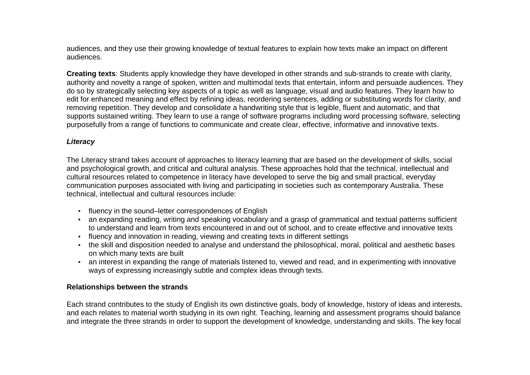audiences, and they use their growing knowledge of textual features to explain how texts make an impact on different audiences.

**Creating texts**: Students apply knowledge they have developed in other strands and sub-strands to create with clarity, authority and novelty a range of spoken, written and multimodal texts that entertain, inform and persuade audiences. They do so by strategically selecting key aspects of a topic as well as language, visual and audio features. They learn how to edit for enhanced meaning and effect by refining ideas, reordering sentences, adding or substituting words for clarity, and removing repetition. They develop and consolidate a handwriting style that is legible, fluent and automatic, and that supports sustained writing. They learn to use a range of software programs including word processing software, selecting purposefully from a range of functions to communicate and create clear, effective, informative and innovative texts.

# **Literacy**

The Literacy strand takes account of approaches to literacy learning that are based on the development of skills, social and psychological growth, and critical and cultural analysis. These approaches hold that the technical, intellectual and cultural resources related to competence in literacy have developed to serve the big and small practical, everyday communication purposes associated with living and participating in societies such as contemporary Australia. These technical, intellectual and cultural resources include:

- fluency in the sound–letter correspondences of English
- an expanding reading, writing and speaking vocabulary and a grasp of grammatical and textual patterns sufficient to understand and learn from texts encountered in and out of school, and to create effective and innovative texts
- fluency and innovation in reading, viewing and creating texts in different settings
- the skill and disposition needed to analyse and understand the philosophical, moral, political and aesthetic bases on which many texts are built
- an interest in expanding the range of materials listened to, viewed and read, and in experimenting with innovative ways of expressing increasingly subtle and complex ideas through texts.

# **Relationships between the strands**

Each strand contributes to the study of English its own distinctive goals, body of knowledge, history of ideas and interests, and each relates to material worth studying in its own right. Teaching, learning and assessment programs should balance and integrate the three strands in order to support the development of knowledge, understanding and skills. The key focal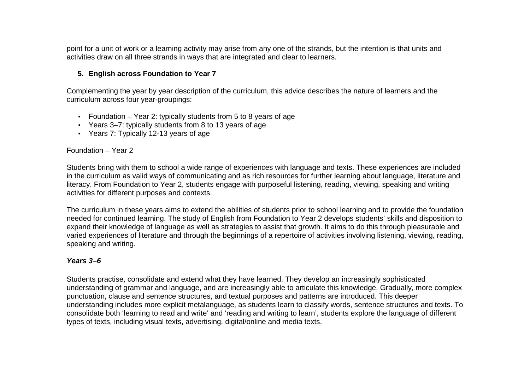point for a unit of work or a learning activity may arise from any one of the strands, but the intention is that units and activities draw on all three strands in ways that are integrated and clear to learners.

# **5. English across Foundation to Year 7**

Complementing the year by year description of the curriculum, this advice describes the nature of learners and the curriculum across four year-groupings:

- Foundation Year 2: typically students from 5 to 8 years of age
- Years 3–7: typically students from 8 to 13 years of age
- Years 7: Typically 12-13 years of age

# Foundation – Year 2

Students bring with them to school a wide range of experiences with language and texts. These experiences are included in the curriculum as valid ways of communicating and as rich resources for further learning about language, literature and literacy. From Foundation to Year 2, students engage with purposeful listening, reading, viewing, speaking and writing activities for different purposes and contexts.

The curriculum in these years aims to extend the abilities of students prior to school learning and to provide the foundation needed for continued learning. The study of English from Foundation to Year 2 develops students' skills and disposition to expand their knowledge of language as well as strategies to assist that growth. It aims to do this through pleasurable and varied experiences of literature and through the beginnings of a repertoire of activities involving listening, viewing, reading, speaking and writing.

# **Years 3–6**

Students practise, consolidate and extend what they have learned. They develop an increasingly sophisticated understanding of grammar and language, and are increasingly able to articulate this knowledge. Gradually, more complex punctuation, clause and sentence structures, and textual purposes and patterns are introduced. This deeper understanding includes more explicit metalanguage, as students learn to classify words, sentence structures and texts. To consolidate both 'learning to read and write' and 'reading and writing to learn', students explore the language of different types of texts, including visual texts, advertising, digital/online and media texts.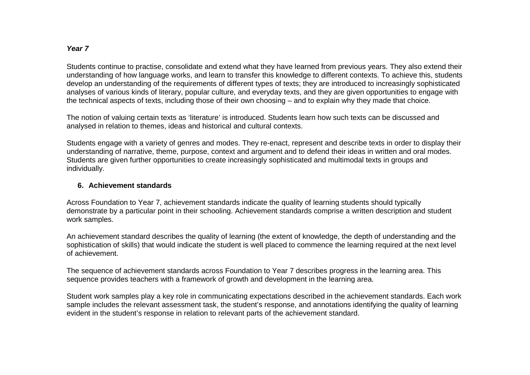#### **Year 7**

Students continue to practise, consolidate and extend what they have learned from previous years. They also extend their understanding of how language works, and learn to transfer this knowledge to different contexts. To achieve this, students develop an understanding of the requirements of different types of texts; they are introduced to increasingly sophisticated analyses of various kinds of literary, popular culture, and everyday texts, and they are given opportunities to engage with the technical aspects of texts, including those of their own choosing – and to explain why they made that choice.

The notion of valuing certain texts as 'literature' is introduced. Students learn how such texts can be discussed and analysed in relation to themes, ideas and historical and cultural contexts.

Students engage with a variety of genres and modes. They re-enact, represent and describe texts in order to display their understanding of narrative, theme, purpose, context and argument and to defend their ideas in written and oral modes. Students are given further opportunities to create increasingly sophisticated and multimodal texts in groups and individually.

#### **6. Achievement standards**

Across Foundation to Year 7, achievement standards indicate the quality of learning students should typically demonstrate by a particular point in their schooling. Achievement standards comprise a written description and student work samples.

An achievement standard describes the quality of learning (the extent of knowledge, the depth of understanding and the sophistication of skills) that would indicate the student is well placed to commence the learning required at the next level of achievement.

The sequence of achievement standards across Foundation to Year 7 describes progress in the learning area. This sequence provides teachers with a framework of growth and development in the learning area.

Student work samples play a key role in communicating expectations described in the achievement standards. Each work sample includes the relevant assessment task, the student's response, and annotations identifying the quality of learning evident in the student's response in relation to relevant parts of the achievement standard.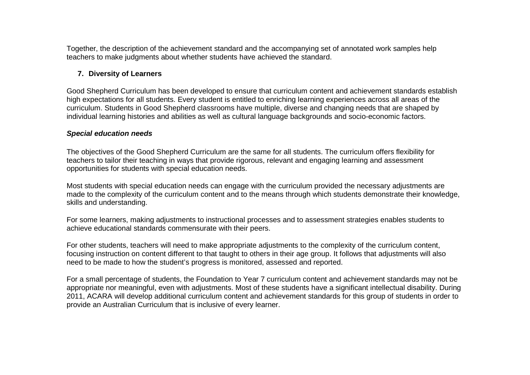Together, the description of the achievement standard and the accompanying set of annotated work samples help teachers to make judgments about whether students have achieved the standard.

# **7. Diversity of Learners**

Good Shepherd Curriculum has been developed to ensure that curriculum content and achievement standards establish high expectations for all students. Every student is entitled to enriching learning experiences across all areas of the curriculum. Students in Good Shepherd classrooms have multiple, diverse and changing needs that are shaped by individual learning histories and abilities as well as cultural language backgrounds and socio-economic factors.

#### **Special education needs**

The objectives of the Good Shepherd Curriculum are the same for all students. The curriculum offers flexibility for teachers to tailor their teaching in ways that provide rigorous, relevant and engaging learning and assessment opportunities for students with special education needs.

Most students with special education needs can engage with the curriculum provided the necessary adjustments are made to the complexity of the curriculum content and to the means through which students demonstrate their knowledge, skills and understanding.

For some learners, making adjustments to instructional processes and to assessment strategies enables students to achieve educational standards commensurate with their peers.

For other students, teachers will need to make appropriate adjustments to the complexity of the curriculum content, focusing instruction on content different to that taught to others in their age group. It follows that adjustments will also need to be made to how the student's progress is monitored, assessed and reported.

For a small percentage of students, the Foundation to Year 7 curriculum content and achievement standards may not be appropriate nor meaningful, even with adjustments. Most of these students have a significant intellectual disability. During 2011, ACARA will develop additional curriculum content and achievement standards for this group of students in order to provide an Australian Curriculum that is inclusive of every learner.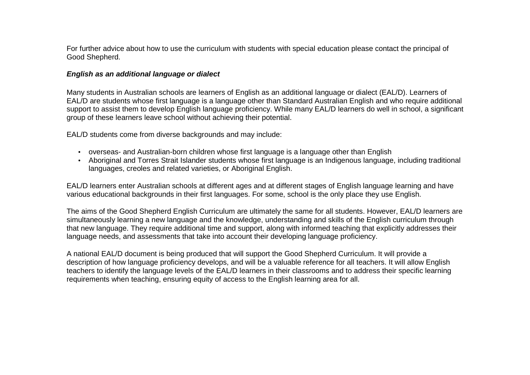For further advice about how to use the curriculum with students with special education please contact the principal of Good Shepherd.

#### **English as an additional language or dialect**

Many students in Australian schools are learners of English as an additional language or dialect (EAL/D). Learners of EAL/D are students whose first language is a language other than Standard Australian English and who require additional support to assist them to develop English language proficiency. While many EAL/D learners do well in school, a significant group of these learners leave school without achieving their potential.

EAL/D students come from diverse backgrounds and may include:

- overseas- and Australian-born children whose first language is a language other than English
- Aboriginal and Torres Strait Islander students whose first language is an Indigenous language, including traditional languages, creoles and related varieties, or Aboriginal English.

EAL/D learners enter Australian schools at different ages and at different stages of English language learning and have various educational backgrounds in their first languages. For some, school is the only place they use English.

The aims of the Good Shepherd English Curriculum are ultimately the same for all students. However, EAL/D learners are simultaneously learning a new language and the knowledge, understanding and skills of the English curriculum through that new language. They require additional time and support, along with informed teaching that explicitly addresses their language needs, and assessments that take into account their developing language proficiency.

A national EAL/D document is being produced that will support the Good Shepherd Curriculum. It will provide a description of how language proficiency develops, and will be a valuable reference for all teachers. It will allow English teachers to identify the language levels of the EAL/D learners in their classrooms and to address their specific learning requirements when teaching, ensuring equity of access to the English learning area for all.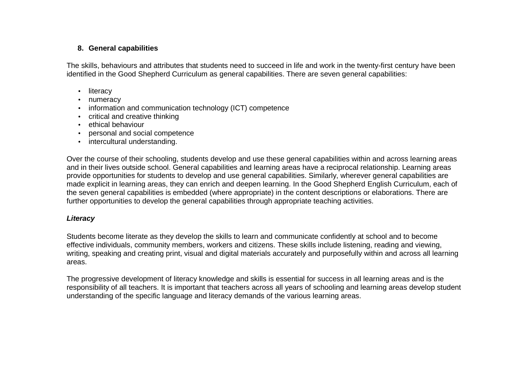# **8. General capabilities**

The skills, behaviours and attributes that students need to succeed in life and work in the twenty-first century have been identified in the Good Shepherd Curriculum as general capabilities. There are seven general capabilities:

- literacy
- numeracy
- information and communication technology (ICT) competence
- critical and creative thinking
- ethical behaviour
- personal and social competence
- intercultural understanding.

Over the course of their schooling, students develop and use these general capabilities within and across learning areas and in their lives outside school. General capabilities and learning areas have a reciprocal relationship. Learning areas provide opportunities for students to develop and use general capabilities. Similarly, wherever general capabilities are made explicit in learning areas, they can enrich and deepen learning. In the Good Shepherd English Curriculum, each of the seven general capabilities is embedded (where appropriate) in the content descriptions or elaborations. There are further opportunities to develop the general capabilities through appropriate teaching activities.

# **Literacy**

Students become literate as they develop the skills to learn and communicate confidently at school and to become effective individuals, community members, workers and citizens. These skills include listening, reading and viewing, writing, speaking and creating print, visual and digital materials accurately and purposefully within and across all learning areas.

The progressive development of literacy knowledge and skills is essential for success in all learning areas and is the responsibility of all teachers. It is important that teachers across all years of schooling and learning areas develop student understanding of the specific language and literacy demands of the various learning areas.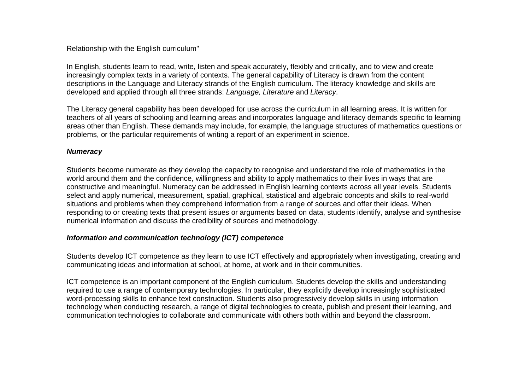Relationship with the English curriculum"

In English, students learn to read, write, listen and speak accurately, flexibly and critically, and to view and create increasingly complex texts in a variety of contexts. The general capability of Literacy is drawn from the content descriptions in the Language and Literacy strands of the English curriculum. The literacy knowledge and skills are developed and applied through all three strands: Language, Literature and Literacy.

The Literacy general capability has been developed for use across the curriculum in all learning areas. It is written for teachers of all years of schooling and learning areas and incorporates language and literacy demands specific to learning areas other than English. These demands may include, for example, the language structures of mathematics questions or problems, or the particular requirements of writing a report of an experiment in science.

# **Numeracy**

Students become numerate as they develop the capacity to recognise and understand the role of mathematics in the world around them and the confidence, willingness and ability to apply mathematics to their lives in ways that are constructive and meaningful. Numeracy can be addressed in English learning contexts across all year levels. Students select and apply numerical, measurement, spatial, graphical, statistical and algebraic concepts and skills to real-world situations and problems when they comprehend information from a range of sources and offer their ideas. When responding to or creating texts that present issues or arguments based on data, students identify, analyse and synthesise numerical information and discuss the credibility of sources and methodology.

# **Information and communication technology (ICT) competence**

Students develop ICT competence as they learn to use ICT effectively and appropriately when investigating, creating and communicating ideas and information at school, at home, at work and in their communities.

ICT competence is an important component of the English curriculum. Students develop the skills and understanding required to use a range of contemporary technologies. In particular, they explicitly develop increasingly sophisticated word-processing skills to enhance text construction. Students also progressively develop skills in using information technology when conducting research, a range of digital technologies to create, publish and present their learning, and communication technologies to collaborate and communicate with others both within and beyond the classroom.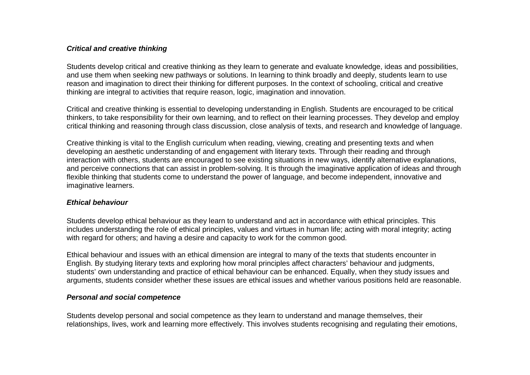# **Critical and creative thinking**

Students develop critical and creative thinking as they learn to generate and evaluate knowledge, ideas and possibilities, and use them when seeking new pathways or solutions. In learning to think broadly and deeply, students learn to use reason and imagination to direct their thinking for different purposes. In the context of schooling, critical and creative thinking are integral to activities that require reason, logic, imagination and innovation.

Critical and creative thinking is essential to developing understanding in English. Students are encouraged to be critical thinkers, to take responsibility for their own learning, and to reflect on their learning processes. They develop and employ critical thinking and reasoning through class discussion, close analysis of texts, and research and knowledge of language.

Creative thinking is vital to the English curriculum when reading, viewing, creating and presenting texts and when developing an aesthetic understanding of and engagement with literary texts. Through their reading and through interaction with others, students are encouraged to see existing situations in new ways, identify alternative explanations, and perceive connections that can assist in problem-solving. It is through the imaginative application of ideas and through flexible thinking that students come to understand the power of language, and become independent, innovative and imaginative learners.

#### **Ethical behaviour**

Students develop ethical behaviour as they learn to understand and act in accordance with ethical principles. This includes understanding the role of ethical principles, values and virtues in human life; acting with moral integrity; acting with regard for others; and having a desire and capacity to work for the common good.

Ethical behaviour and issues with an ethical dimension are integral to many of the texts that students encounter in English. By studying literary texts and exploring how moral principles affect characters' behaviour and judgments, students' own understanding and practice of ethical behaviour can be enhanced. Equally, when they study issues and arguments, students consider whether these issues are ethical issues and whether various positions held are reasonable.

# **Personal and social competence**

Students develop personal and social competence as they learn to understand and manage themselves, their relationships, lives, work and learning more effectively. This involves students recognising and regulating their emotions,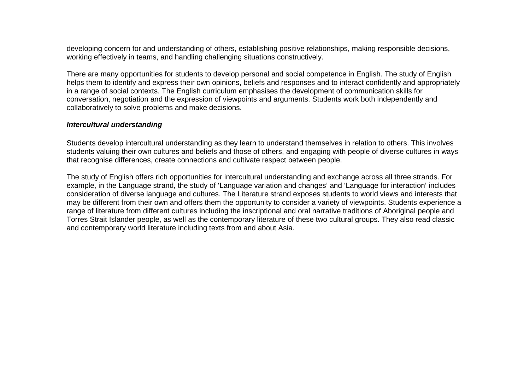developing concern for and understanding of others, establishing positive relationships, making responsible decisions, working effectively in teams, and handling challenging situations constructively.

There are many opportunities for students to develop personal and social competence in English. The study of English helps them to identify and express their own opinions, beliefs and responses and to interact confidently and appropriately in a range of social contexts. The English curriculum emphasises the development of communication skills for conversation, negotiation and the expression of viewpoints and arguments. Students work both independently and collaboratively to solve problems and make decisions.

#### **Intercultural understanding**

Students develop intercultural understanding as they learn to understand themselves in relation to others. This involves students valuing their own cultures and beliefs and those of others, and engaging with people of diverse cultures in ways that recognise differences, create connections and cultivate respect between people.

The study of English offers rich opportunities for intercultural understanding and exchange across all three strands. For example, in the Language strand, the study of 'Language variation and changes' and 'Language for interaction' includes consideration of diverse language and cultures. The Literature strand exposes students to world views and interests that may be different from their own and offers them the opportunity to consider a variety of viewpoints. Students experience a range of literature from different cultures including the inscriptional and oral narrative traditions of Aboriginal people and Torres Strait Islander people, as well as the contemporary literature of these two cultural groups. They also read classic and contemporary world literature including texts from and about Asia.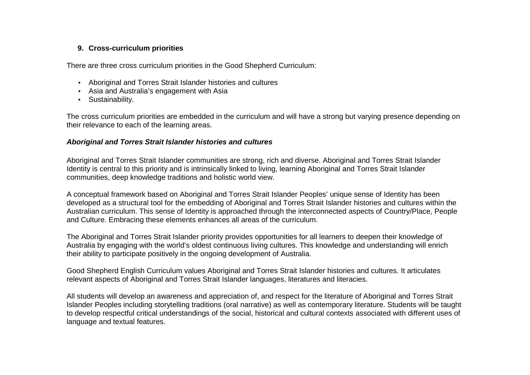# **9. Cross-curriculum priorities**

There are three cross curriculum priorities in the Good Shepherd Curriculum:

- Aboriginal and Torres Strait Islander histories and cultures
- Asia and Australia's engagement with Asia
- Sustainability.

The cross curriculum priorities are embedded in the curriculum and will have a strong but varying presence depending on their relevance to each of the learning areas.

# **Aboriginal and Torres Strait Islander histories and cultures**

Aboriginal and Torres Strait Islander communities are strong, rich and diverse. Aboriginal and Torres Strait Islander Identity is central to this priority and is intrinsically linked to living, learning Aboriginal and Torres Strait Islander communities, deep knowledge traditions and holistic world view.

A conceptual framework based on Aboriginal and Torres Strait Islander Peoples' unique sense of Identity has been developed as a structural tool for the embedding of Aboriginal and Torres Strait Islander histories and cultures within the Australian curriculum. This sense of Identity is approached through the interconnected aspects of Country/Place, People and Culture. Embracing these elements enhances all areas of the curriculum.

The Aboriginal and Torres Strait Islander priority provides opportunities for all learners to deepen their knowledge of Australia by engaging with the world's oldest continuous living cultures. This knowledge and understanding will enrich their ability to participate positively in the ongoing development of Australia.

Good Shepherd English Curriculum values Aboriginal and Torres Strait Islander histories and cultures. It articulates relevant aspects of Aboriginal and Torres Strait Islander languages, literatures and literacies.

All students will develop an awareness and appreciation of, and respect for the literature of Aboriginal and Torres Strait Islander Peoples including storytelling traditions (oral narrative) as well as contemporary literature. Students will be taught to develop respectful critical understandings of the social, historical and cultural contexts associated with different uses of language and textual features.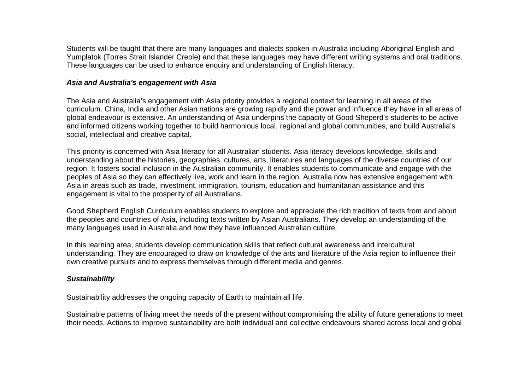Students will be taught that there are many languages and dialects spoken in Australia including Aboriginal English and Yumplatok (Torres Strait Islander Creole) and that these languages may have different writing systems and oral traditions. These languages can be used to enhance enquiry and understanding of English literacy.

#### **Asia and Australia's engagement with Asia**

The Asia and Australia's engagement with Asia priority provides a regional context for learning in all areas of the curriculum. China, India and other Asian nations are growing rapidly and the power and influence they have in all areas of global endeavour is extensive. An understanding of Asia underpins the capacity of Good Sheperd's students to be active and informed citizens working together to build harmonious local, regional and global communities, and build Australia's social, intellectual and creative capital.

This priority is concerned with Asia literacy for all Australian students. Asia literacy develops knowledge, skills and understanding about the histories, geographies, cultures, arts, literatures and languages of the diverse countries of our region. It fosters social inclusion in the Australian community. It enables students to communicate and engage with the peoples of Asia so they can effectively live, work and learn in the region. Australia now has extensive engagement with Asia in areas such as trade, investment, immigration, tourism, education and humanitarian assistance and this engagement is vital to the prosperity of all Australians.

Good Shepherd English Curriculum enables students to explore and appreciate the rich tradition of texts from and about the peoples and countries of Asia, including texts written by Asian Australians. They develop an understanding of the many languages used in Australia and how they have influenced Australian culture.

In this learning area, students develop communication skills that reflect cultural awareness and intercultural understanding. They are encouraged to draw on knowledge of the arts and literature of the Asia region to influence their own creative pursuits and to express themselves through different media and genres.

# **Sustainability**

Sustainability addresses the ongoing capacity of Earth to maintain all life.

Sustainable patterns of living meet the needs of the present without compromising the ability of future generations to meet their needs. Actions to improve sustainability are both individual and collective endeavours shared across local and global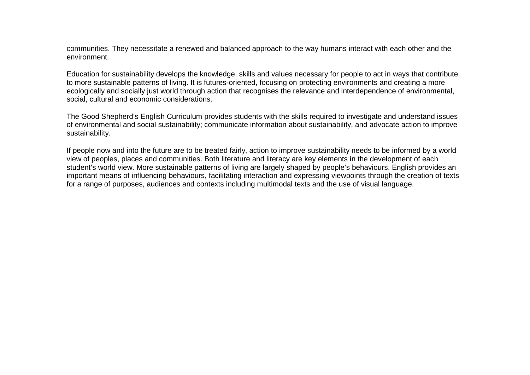communities. They necessitate a renewed and balanced approach to the way humans interact with each other and the environment.

Education for sustainability develops the knowledge, skills and values necessary for people to act in ways that contribute to more sustainable patterns of living. It is futures-oriented, focusing on protecting environments and creating a more ecologically and socially just world through action that recognises the relevance and interdependence of environmental, social, cultural and economic considerations.

The Good Shepherd's English Curriculum provides students with the skills required to investigate and understand issues of environmental and social sustainability; communicate information about sustainability, and advocate action to improve sustainability.

If people now and into the future are to be treated fairly, action to improve sustainability needs to be informed by a world view of peoples, places and communities. Both literature and literacy are key elements in the development of each student's world view. More sustainable patterns of living are largely shaped by people's behaviours. English provides an important means of influencing behaviours, facilitating interaction and expressing viewpoints through the creation of texts for a range of purposes, audiences and contexts including multimodal texts and the use of visual language.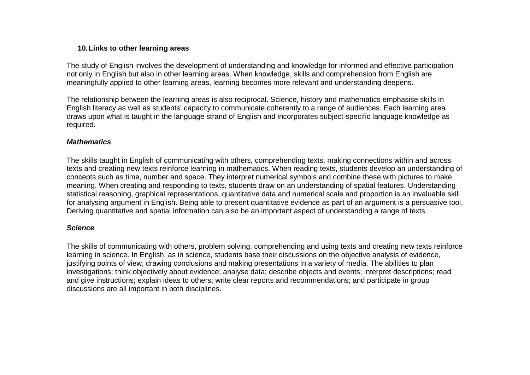# **10. Links to other learning areas**

The study of English involves the development of understanding and knowledge for informed and effective participation not only in English but also in other learning areas. When knowledge, skills and comprehension from English are meaningfully applied to other learning areas, learning becomes more relevant and understanding deepens.

The relationship between the learning areas is also reciprocal. Science, history and mathematics emphasise skills in English literacy as well as students' capacity to communicate coherently to a range of audiences. Each learning area draws upon what is taught in the language strand of English and incorporates subject-specific language knowledge as required.

# **Mathematics**

The skills taught in English of communicating with others, comprehending texts, making connections within and across texts and creating new texts reinforce learning in mathematics. When reading texts, students develop an understanding of concepts such as time, number and space. They interpret numerical symbols and combine these with pictures to make meaning. When creating and responding to texts, students draw on an understanding of spatial features. Understanding statistical reasoning, graphical representations, quantitative data and numerical scale and proportion is an invaluable skill for analysing argument in English. Being able to present quantitative evidence as part of an argument is a persuasive tool. Deriving quantitative and spatial information can also be an important aspect of understanding a range of texts.

# **Science**

The skills of communicating with others, problem solving, comprehending and using texts and creating new texts reinforce learning in science. In English, as in science, students base their discussions on the objective analysis of evidence, justifying points of view, drawing conclusions and making presentations in a variety of media. The abilities to plan investigations; think objectively about evidence; analyse data; describe objects and events; interpret descriptions; read and give instructions; explain ideas to others; write clear reports and recommendations; and participate in group discussions are all important in both disciplines.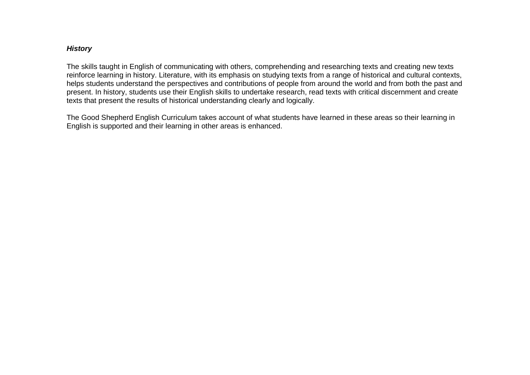# **History**

The skills taught in English of communicating with others, comprehending and researching texts and creating new texts reinforce learning in history. Literature, with its emphasis on studying texts from a range of historical and cultural contexts, helps students understand the perspectives and contributions of people from around the world and from both the past and present. In history, students use their English skills to undertake research, read texts with critical discernment and create texts that present the results of historical understanding clearly and logically.

The Good Shepherd English Curriculum takes account of what students have learned in these areas so their learning in English is supported and their learning in other areas is enhanced.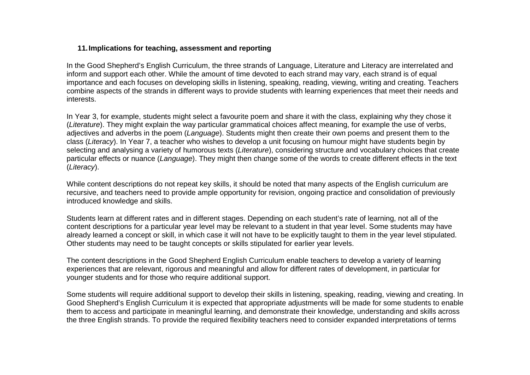# **11. Implications for teaching, assessment and reporting**

In the Good Shepherd's English Curriculum, the three strands of Language, Literature and Literacy are interrelated and inform and support each other. While the amount of time devoted to each strand may vary, each strand is of equal importance and each focuses on developing skills in listening, speaking, reading, viewing, writing and creating. Teachers combine aspects of the strands in different ways to provide students with learning experiences that meet their needs and interests.

In Year 3, for example, students might select a favourite poem and share it with the class, explaining why they chose it (Literature). They might explain the way particular grammatical choices affect meaning, for example the use of verbs, adjectives and adverbs in the poem (Language). Students might then create their own poems and present them to the class (Literacy). In Year 7, a teacher who wishes to develop a unit focusing on humour might have students begin by selecting and analysing a variety of humorous texts (Literature), considering structure and vocabulary choices that create particular effects or nuance (Language). They might then change some of the words to create different effects in the text (Literacy).

While content descriptions do not repeat key skills, it should be noted that many aspects of the English curriculum are recursive, and teachers need to provide ample opportunity for revision, ongoing practice and consolidation of previously introduced knowledge and skills.

Students learn at different rates and in different stages. Depending on each student's rate of learning, not all of the content descriptions for a particular year level may be relevant to a student in that year level. Some students may have already learned a concept or skill, in which case it will not have to be explicitly taught to them in the year level stipulated. Other students may need to be taught concepts or skills stipulated for earlier year levels.

The content descriptions in the Good Shepherd English Curriculum enable teachers to develop a variety of learning experiences that are relevant, rigorous and meaningful and allow for different rates of development, in particular for younger students and for those who require additional support.

Some students will require additional support to develop their skills in listening, speaking, reading, viewing and creating. In Good Shepherd's English Curriculum it is expected that appropriate adjustments will be made for some students to enable them to access and participate in meaningful learning, and demonstrate their knowledge, understanding and skills across the three English strands. To provide the required flexibility teachers need to consider expanded interpretations of terms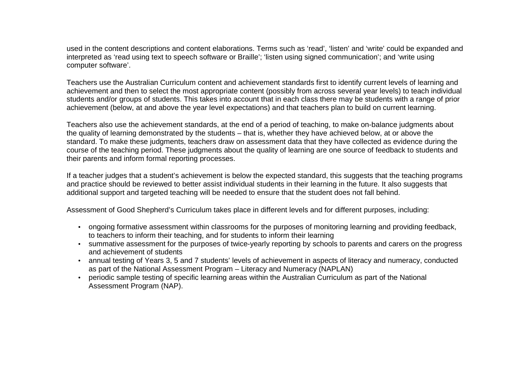used in the content descriptions and content elaborations. Terms such as 'read', 'listen' and 'write' could be expanded and interpreted as 'read using text to speech software or Braille'; 'listen using signed communication'; and 'write using computer software'.

Teachers use the Australian Curriculum content and achievement standards first to identify current levels of learning and achievement and then to select the most appropriate content (possibly from across several year levels) to teach individual students and/or groups of students. This takes into account that in each class there may be students with a range of prior achievement (below, at and above the year level expectations) and that teachers plan to build on current learning.

Teachers also use the achievement standards, at the end of a period of teaching, to make on-balance judgments about the quality of learning demonstrated by the students – that is, whether they have achieved below, at or above the standard. To make these judgments, teachers draw on assessment data that they have collected as evidence during the course of the teaching period. These judgments about the quality of learning are one source of feedback to students and their parents and inform formal reporting processes.

If a teacher judges that a student's achievement is below the expected standard, this suggests that the teaching programs and practice should be reviewed to better assist individual students in their learning in the future. It also suggests that additional support and targeted teaching will be needed to ensure that the student does not fall behind.

Assessment of Good Shepherd's Curriculum takes place in different levels and for different purposes, including:

- ongoing formative assessment within classrooms for the purposes of monitoring learning and providing feedback, to teachers to inform their teaching, and for students to inform their learning
- summative assessment for the purposes of twice-yearly reporting by schools to parents and carers on the progress and achievement of students
- annual testing of Years 3, 5 and 7 students' levels of achievement in aspects of literacy and numeracy, conducted as part of the National Assessment Program – Literacy and Numeracy (NAPLAN)
- periodic sample testing of specific learning areas within the Australian Curriculum as part of the National Assessment Program (NAP).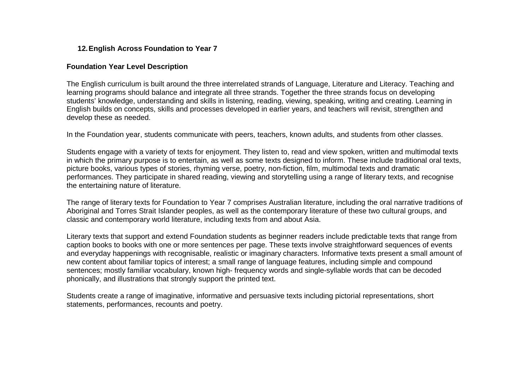# **12. English Across Foundation to Year 7**

# **Foundation Year Level Description**

The English curriculum is built around the three interrelated strands of Language, Literature and Literacy. Teaching and learning programs should balance and integrate all three strands. Together the three strands focus on developing students' knowledge, understanding and skills in listening, reading, viewing, speaking, writing and creating. Learning in English builds on concepts, skills and processes developed in earlier years, and teachers will revisit, strengthen and develop these as needed.

In the Foundation year, students communicate with peers, teachers, known adults, and students from other classes.

Students engage with a variety of texts for enjoyment. They listen to, read and view spoken, written and multimodal texts in which the primary purpose is to entertain, as well as some texts designed to inform. These include traditional oral texts, picture books, various types of stories, rhyming verse, poetry, non-fiction, film, multimodal texts and dramatic performances. They participate in shared reading, viewing and storytelling using a range of literary texts, and recognise the entertaining nature of literature.

The range of literary texts for Foundation to Year 7 comprises Australian literature, including the oral narrative traditions of Aboriginal and Torres Strait Islander peoples, as well as the contemporary literature of these two cultural groups, and classic and contemporary world literature, including texts from and about Asia.

Literary texts that support and extend Foundation students as beginner readers include predictable texts that range from caption books to books with one or more sentences per page. These texts involve straightforward sequences of events and everyday happenings with recognisable, realistic or imaginary characters. Informative texts present a small amount of new content about familiar topics of interest; a small range of language features, including simple and compound sentences; mostly familiar vocabulary, known high- frequency words and single-syllable words that can be decoded phonically, and illustrations that strongly support the printed text.

Students create a range of imaginative, informative and persuasive texts including pictorial representations, short statements, performances, recounts and poetry.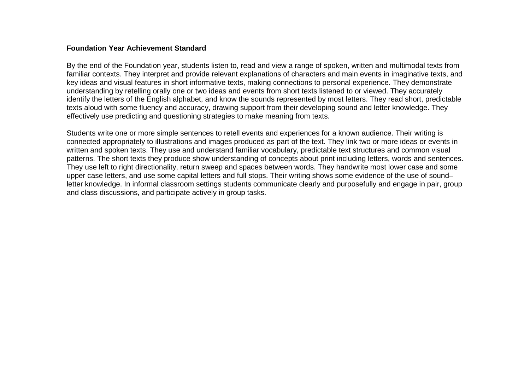#### **Foundation Year Achievement Standard**

By the end of the Foundation year, students listen to, read and view a range of spoken, written and multimodal texts from familiar contexts. They interpret and provide relevant explanations of characters and main events in imaginative texts, and key ideas and visual features in short informative texts, making connections to personal experience. They demonstrate understanding by retelling orally one or two ideas and events from short texts listened to or viewed. They accurately identify the letters of the English alphabet, and know the sounds represented by most letters. They read short, predictable texts aloud with some fluency and accuracy, drawing support from their developing sound and letter knowledge. They effectively use predicting and questioning strategies to make meaning from texts.

Students write one or more simple sentences to retell events and experiences for a known audience. Their writing is connected appropriately to illustrations and images produced as part of the text. They link two or more ideas or events in written and spoken texts. They use and understand familiar vocabulary, predictable text structures and common visual patterns. The short texts they produce show understanding of concepts about print including letters, words and sentences. They use left to right directionality, return sweep and spaces between words. They handwrite most lower case and some upper case letters, and use some capital letters and full stops. Their writing shows some evidence of the use of sound– letter knowledge. In informal classroom settings students communicate clearly and purposefully and engage in pair, group and class discussions, and participate actively in group tasks.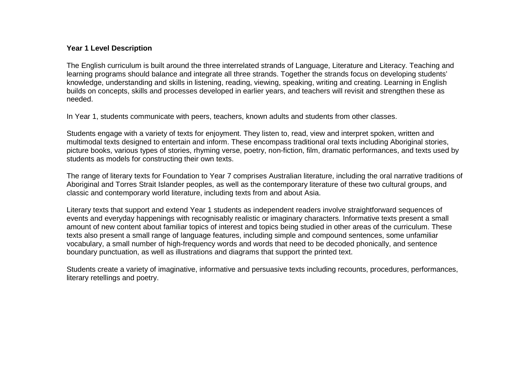# **Year 1 Level Description**

The English curriculum is built around the three interrelated strands of Language, Literature and Literacy. Teaching and learning programs should balance and integrate all three strands. Together the strands focus on developing students' knowledge, understanding and skills in listening, reading, viewing, speaking, writing and creating. Learning in English builds on concepts, skills and processes developed in earlier years, and teachers will revisit and strengthen these as needed.

In Year 1, students communicate with peers, teachers, known adults and students from other classes.

Students engage with a variety of texts for enjoyment. They listen to, read, view and interpret spoken, written and multimodal texts designed to entertain and inform. These encompass traditional oral texts including Aboriginal stories, picture books, various types of stories, rhyming verse, poetry, non-fiction, film, dramatic performances, and texts used by students as models for constructing their own texts.

The range of literary texts for Foundation to Year 7 comprises Australian literature, including the oral narrative traditions of Aboriginal and Torres Strait Islander peoples, as well as the contemporary literature of these two cultural groups, and classic and contemporary world literature, including texts from and about Asia.

Literary texts that support and extend Year 1 students as independent readers involve straightforward sequences of events and everyday happenings with recognisably realistic or imaginary characters. Informative texts present a small amount of new content about familiar topics of interest and topics being studied in other areas of the curriculum. These texts also present a small range of language features, including simple and compound sentences, some unfamiliar vocabulary, a small number of high-frequency words and words that need to be decoded phonically, and sentence boundary punctuation, as well as illustrations and diagrams that support the printed text.

Students create a variety of imaginative, informative and persuasive texts including recounts, procedures, performances, literary retellings and poetry.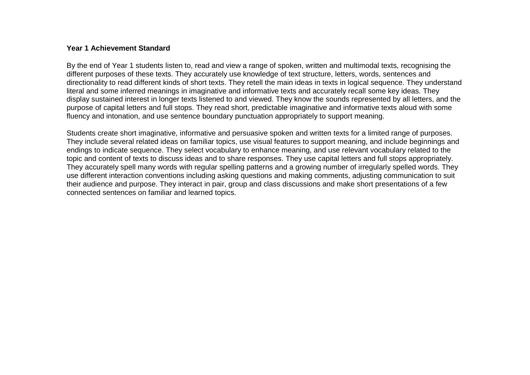#### **Year 1 Achievement Standard**

By the end of Year 1 students listen to, read and view a range of spoken, written and multimodal texts, recognising the different purposes of these texts. They accurately use knowledge of text structure, letters, words, sentences and directionality to read different kinds of short texts. They retell the main ideas in texts in logical sequence. They understand literal and some inferred meanings in imaginative and informative texts and accurately recall some key ideas. They display sustained interest in longer texts listened to and viewed. They know the sounds represented by all letters, and the purpose of capital letters and full stops. They read short, predictable imaginative and informative texts aloud with some fluency and intonation, and use sentence boundary punctuation appropriately to support meaning.

Students create short imaginative, informative and persuasive spoken and written texts for a limited range of purposes. They include several related ideas on familiar topics, use visual features to support meaning, and include beginnings and endings to indicate sequence. They select vocabulary to enhance meaning, and use relevant vocabulary related to the topic and content of texts to discuss ideas and to share responses. They use capital letters and full stops appropriately. They accurately spell many words with regular spelling patterns and a growing number of irregularly spelled words. They use different interaction conventions including asking questions and making comments, adjusting communication to suit their audience and purpose. They interact in pair, group and class discussions and make short presentations of a few connected sentences on familiar and learned topics.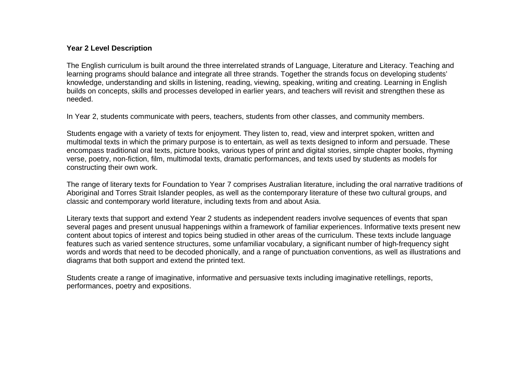# **Year 2 Level Description**

The English curriculum is built around the three interrelated strands of Language, Literature and Literacy. Teaching and learning programs should balance and integrate all three strands. Together the strands focus on developing students' knowledge, understanding and skills in listening, reading, viewing, speaking, writing and creating. Learning in English builds on concepts, skills and processes developed in earlier years, and teachers will revisit and strengthen these as needed.

In Year 2, students communicate with peers, teachers, students from other classes, and community members.

Students engage with a variety of texts for enjoyment. They listen to, read, view and interpret spoken, written and multimodal texts in which the primary purpose is to entertain, as well as texts designed to inform and persuade. These encompass traditional oral texts, picture books, various types of print and digital stories, simple chapter books, rhyming verse, poetry, non-fiction, film, multimodal texts, dramatic performances, and texts used by students as models for constructing their own work.

The range of literary texts for Foundation to Year 7 comprises Australian literature, including the oral narrative traditions of Aboriginal and Torres Strait Islander peoples, as well as the contemporary literature of these two cultural groups, and classic and contemporary world literature, including texts from and about Asia.

Literary texts that support and extend Year 2 students as independent readers involve sequences of events that span several pages and present unusual happenings within a framework of familiar experiences. Informative texts present new content about topics of interest and topics being studied in other areas of the curriculum. These texts include language features such as varied sentence structures, some unfamiliar vocabulary, a significant number of high-frequency sight words and words that need to be decoded phonically, and a range of punctuation conventions, as well as illustrations and diagrams that both support and extend the printed text.

Students create a range of imaginative, informative and persuasive texts including imaginative retellings, reports, performances, poetry and expositions.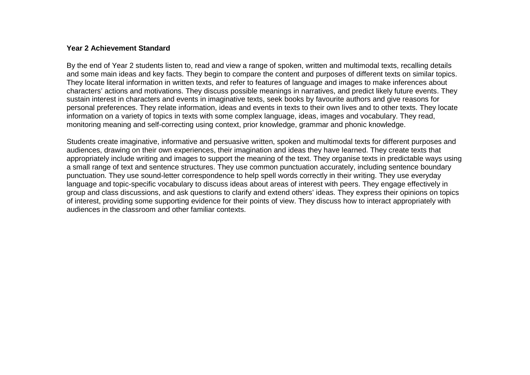#### **Year 2 Achievement Standard**

By the end of Year 2 students listen to, read and view a range of spoken, written and multimodal texts, recalling details and some main ideas and key facts. They begin to compare the content and purposes of different texts on similar topics. They locate literal information in written texts, and refer to features of language and images to make inferences about characters' actions and motivations. They discuss possible meanings in narratives, and predict likely future events. They sustain interest in characters and events in imaginative texts, seek books by favourite authors and give reasons for personal preferences. They relate information, ideas and events in texts to their own lives and to other texts. They locate information on a variety of topics in texts with some complex language, ideas, images and vocabulary. They read, monitoring meaning and self-correcting using context, prior knowledge, grammar and phonic knowledge.

Students create imaginative, informative and persuasive written, spoken and multimodal texts for different purposes and audiences, drawing on their own experiences, their imagination and ideas they have learned. They create texts that appropriately include writing and images to support the meaning of the text. They organise texts in predictable ways using a small range of text and sentence structures. They use common punctuation accurately, including sentence boundary punctuation. They use sound-letter correspondence to help spell words correctly in their writing. They use everyday language and topic-specific vocabulary to discuss ideas about areas of interest with peers. They engage effectively in group and class discussions, and ask questions to clarify and extend others' ideas. They express their opinions on topics of interest, providing some supporting evidence for their points of view. They discuss how to interact appropriately with audiences in the classroom and other familiar contexts.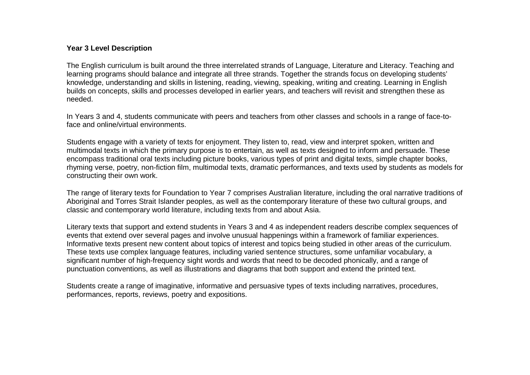# **Year 3 Level Description**

The English curriculum is built around the three interrelated strands of Language, Literature and Literacy. Teaching and learning programs should balance and integrate all three strands. Together the strands focus on developing students' knowledge, understanding and skills in listening, reading, viewing, speaking, writing and creating. Learning in English builds on concepts, skills and processes developed in earlier years, and teachers will revisit and strengthen these as needed.

In Years 3 and 4, students communicate with peers and teachers from other classes and schools in a range of face-toface and online/virtual environments.

Students engage with a variety of texts for enjoyment. They listen to, read, view and interpret spoken, written and multimodal texts in which the primary purpose is to entertain, as well as texts designed to inform and persuade. These encompass traditional oral texts including picture books, various types of print and digital texts, simple chapter books, rhyming verse, poetry, non-fiction film, multimodal texts, dramatic performances, and texts used by students as models for constructing their own work.

The range of literary texts for Foundation to Year 7 comprises Australian literature, including the oral narrative traditions of Aboriginal and Torres Strait Islander peoples, as well as the contemporary literature of these two cultural groups, and classic and contemporary world literature, including texts from and about Asia.

Literary texts that support and extend students in Years 3 and 4 as independent readers describe complex sequences of events that extend over several pages and involve unusual happenings within a framework of familiar experiences. Informative texts present new content about topics of interest and topics being studied in other areas of the curriculum. These texts use complex language features, including varied sentence structures, some unfamiliar vocabulary, a significant number of high-frequency sight words and words that need to be decoded phonically, and a range of punctuation conventions, as well as illustrations and diagrams that both support and extend the printed text.

Students create a range of imaginative, informative and persuasive types of texts including narratives, procedures, performances, reports, reviews, poetry and expositions.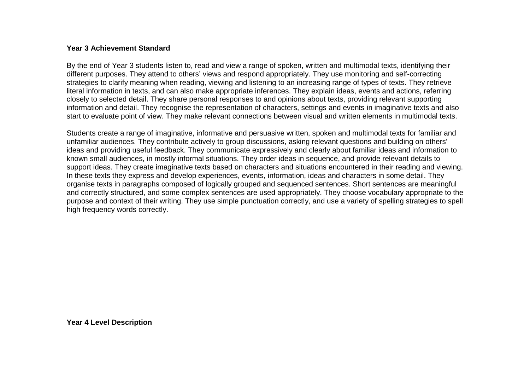#### **Year 3 Achievement Standard**

By the end of Year 3 students listen to, read and view a range of spoken, written and multimodal texts, identifying their different purposes. They attend to others' views and respond appropriately. They use monitoring and self-correcting strategies to clarify meaning when reading, viewing and listening to an increasing range of types of texts. They retrieve literal information in texts, and can also make appropriate inferences. They explain ideas, events and actions, referring closely to selected detail. They share personal responses to and opinions about texts, providing relevant supporting information and detail. They recognise the representation of characters, settings and events in imaginative texts and also start to evaluate point of view. They make relevant connections between visual and written elements in multimodal texts.

Students create a range of imaginative, informative and persuasive written, spoken and multimodal texts for familiar and unfamiliar audiences. They contribute actively to group discussions, asking relevant questions and building on others' ideas and providing useful feedback. They communicate expressively and clearly about familiar ideas and information to known small audiences, in mostly informal situations. They order ideas in sequence, and provide relevant details to support ideas. They create imaginative texts based on characters and situations encountered in their reading and viewing. In these texts they express and develop experiences, events, information, ideas and characters in some detail. They organise texts in paragraphs composed of logically grouped and sequenced sentences. Short sentences are meaningful and correctly structured, and some complex sentences are used appropriately. They choose vocabulary appropriate to the purpose and context of their writing. They use simple punctuation correctly, and use a variety of spelling strategies to spell high frequency words correctly.

**Year 4 Level Description**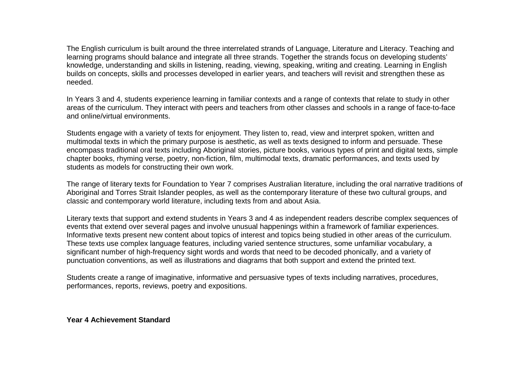The English curriculum is built around the three interrelated strands of Language, Literature and Literacy. Teaching and learning programs should balance and integrate all three strands. Together the strands focus on developing students' knowledge, understanding and skills in listening, reading, viewing, speaking, writing and creating. Learning in English builds on concepts, skills and processes developed in earlier years, and teachers will revisit and strengthen these as needed.

In Years 3 and 4, students experience learning in familiar contexts and a range of contexts that relate to study in other areas of the curriculum. They interact with peers and teachers from other classes and schools in a range of face-to-face and online/virtual environments.

Students engage with a variety of texts for enjoyment. They listen to, read, view and interpret spoken, written and multimodal texts in which the primary purpose is aesthetic, as well as texts designed to inform and persuade. These encompass traditional oral texts including Aboriginal stories, picture books, various types of print and digital texts, simple chapter books, rhyming verse, poetry, non-fiction, film, multimodal texts, dramatic performances, and texts used by students as models for constructing their own work.

The range of literary texts for Foundation to Year 7 comprises Australian literature, including the oral narrative traditions of Aboriginal and Torres Strait Islander peoples, as well as the contemporary literature of these two cultural groups, and classic and contemporary world literature, including texts from and about Asia.

Literary texts that support and extend students in Years 3 and 4 as independent readers describe complex sequences of events that extend over several pages and involve unusual happenings within a framework of familiar experiences. Informative texts present new content about topics of interest and topics being studied in other areas of the curriculum. These texts use complex language features, including varied sentence structures, some unfamiliar vocabulary, a significant number of high-frequency sight words and words that need to be decoded phonically, and a variety of punctuation conventions, as well as illustrations and diagrams that both support and extend the printed text.

Students create a range of imaginative, informative and persuasive types of texts including narratives, procedures, performances, reports, reviews, poetry and expositions.

**Year 4 Achievement Standard**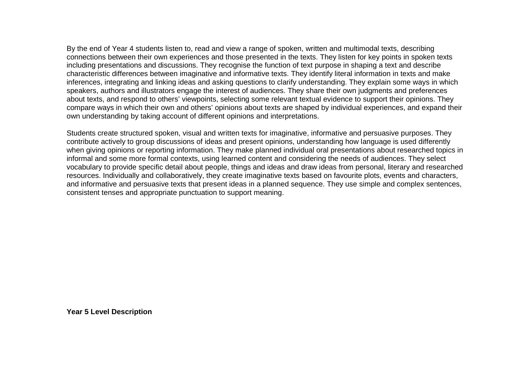By the end of Year 4 students listen to, read and view a range of spoken, written and multimodal texts, describing connections between their own experiences and those presented in the texts. They listen for key points in spoken texts including presentations and discussions. They recognise the function of text purpose in shaping a text and describe characteristic differences between imaginative and informative texts. They identify literal information in texts and make inferences, integrating and linking ideas and asking questions to clarify understanding. They explain some ways in which speakers, authors and illustrators engage the interest of audiences. They share their own judgments and preferences about texts, and respond to others' viewpoints, selecting some relevant textual evidence to support their opinions. They compare ways in which their own and others' opinions about texts are shaped by individual experiences, and expand their own understanding by taking account of different opinions and interpretations.

Students create structured spoken, visual and written texts for imaginative, informative and persuasive purposes. They contribute actively to group discussions of ideas and present opinions, understanding how language is used differently when giving opinions or reporting information. They make planned individual oral presentations about researched topics in informal and some more formal contexts, using learned content and considering the needs of audiences. They select vocabulary to provide specific detail about people, things and ideas and draw ideas from personal, literary and researched resources. Individually and collaboratively, they create imaginative texts based on favourite plots, events and characters, and informative and persuasive texts that present ideas in a planned sequence. They use simple and complex sentences, consistent tenses and appropriate punctuation to support meaning.

**Year 5 Level Description**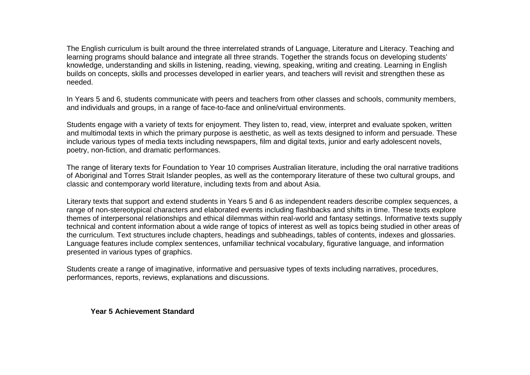The English curriculum is built around the three interrelated strands of Language, Literature and Literacy. Teaching and learning programs should balance and integrate all three strands. Together the strands focus on developing students' knowledge, understanding and skills in listening, reading, viewing, speaking, writing and creating. Learning in English builds on concepts, skills and processes developed in earlier years, and teachers will revisit and strengthen these as needed.

In Years 5 and 6, students communicate with peers and teachers from other classes and schools, community members, and individuals and groups, in a range of face-to-face and online/virtual environments.

Students engage with a variety of texts for enjoyment. They listen to, read, view, interpret and evaluate spoken, written and multimodal texts in which the primary purpose is aesthetic, as well as texts designed to inform and persuade. These include various types of media texts including newspapers, film and digital texts, junior and early adolescent novels, poetry, non-fiction, and dramatic performances.

The range of literary texts for Foundation to Year 10 comprises Australian literature, including the oral narrative traditions of Aboriginal and Torres Strait Islander peoples, as well as the contemporary literature of these two cultural groups, and classic and contemporary world literature, including texts from and about Asia.

Literary texts that support and extend students in Years 5 and 6 as independent readers describe complex sequences, a range of non-stereotypical characters and elaborated events including flashbacks and shifts in time. These texts explore themes of interpersonal relationships and ethical dilemmas within real-world and fantasy settings. Informative texts supply technical and content information about a wide range of topics of interest as well as topics being studied in other areas of the curriculum. Text structures include chapters, headings and subheadings, tables of contents, indexes and glossaries. Language features include complex sentences, unfamiliar technical vocabulary, figurative language, and information presented in various types of graphics.

Students create a range of imaginative, informative and persuasive types of texts including narratives, procedures, performances, reports, reviews, explanations and discussions.

**Year 5 Achievement Standard**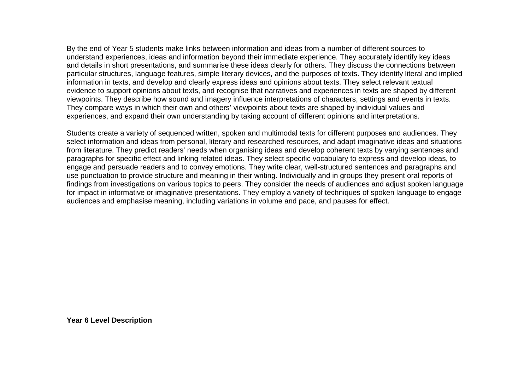By the end of Year 5 students make links between information and ideas from a number of different sources to understand experiences, ideas and information beyond their immediate experience. They accurately identify key ideas and details in short presentations, and summarise these ideas clearly for others. They discuss the connections between particular structures, language features, simple literary devices, and the purposes of texts. They identify literal and implied information in texts, and develop and clearly express ideas and opinions about texts. They select relevant textual evidence to support opinions about texts, and recognise that narratives and experiences in texts are shaped by different viewpoints. They describe how sound and imagery influence interpretations of characters, settings and events in texts. They compare ways in which their own and others' viewpoints about texts are shaped by individual values and experiences, and expand their own understanding by taking account of different opinions and interpretations.

Students create a variety of sequenced written, spoken and multimodal texts for different purposes and audiences. They select information and ideas from personal, literary and researched resources, and adapt imaginative ideas and situations from literature. They predict readers' needs when organising ideas and develop coherent texts by varying sentences and paragraphs for specific effect and linking related ideas. They select specific vocabulary to express and develop ideas, to engage and persuade readers and to convey emotions. They write clear, well-structured sentences and paragraphs and use punctuation to provide structure and meaning in their writing. Individually and in groups they present oral reports of findings from investigations on various topics to peers. They consider the needs of audiences and adjust spoken language for impact in informative or imaginative presentations. They employ a variety of techniques of spoken language to engage audiences and emphasise meaning, including variations in volume and pace, and pauses for effect.

**Year 6 Level Description**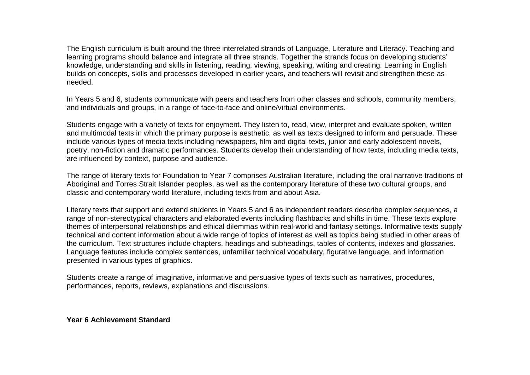The English curriculum is built around the three interrelated strands of Language, Literature and Literacy. Teaching and learning programs should balance and integrate all three strands. Together the strands focus on developing students' knowledge, understanding and skills in listening, reading, viewing, speaking, writing and creating. Learning in English builds on concepts, skills and processes developed in earlier years, and teachers will revisit and strengthen these as needed.

In Years 5 and 6, students communicate with peers and teachers from other classes and schools, community members, and individuals and groups, in a range of face-to-face and online/virtual environments.

Students engage with a variety of texts for enjoyment. They listen to, read, view, interpret and evaluate spoken, written and multimodal texts in which the primary purpose is aesthetic, as well as texts designed to inform and persuade. These include various types of media texts including newspapers, film and digital texts, junior and early adolescent novels, poetry, non-fiction and dramatic performances. Students develop their understanding of how texts, including media texts, are influenced by context, purpose and audience.

The range of literary texts for Foundation to Year 7 comprises Australian literature, including the oral narrative traditions of Aboriginal and Torres Strait Islander peoples, as well as the contemporary literature of these two cultural groups, and classic and contemporary world literature, including texts from and about Asia.

Literary texts that support and extend students in Years 5 and 6 as independent readers describe complex sequences, a range of non-stereotypical characters and elaborated events including flashbacks and shifts in time. These texts explore themes of interpersonal relationships and ethical dilemmas within real-world and fantasy settings. Informative texts supply technical and content information about a wide range of topics of interest as well as topics being studied in other areas of the curriculum. Text structures include chapters, headings and subheadings, tables of contents, indexes and glossaries. Language features include complex sentences, unfamiliar technical vocabulary, figurative language, and information presented in various types of graphics.

Students create a range of imaginative, informative and persuasive types of texts such as narratives, procedures, performances, reports, reviews, explanations and discussions.

**Year 6 Achievement Standard**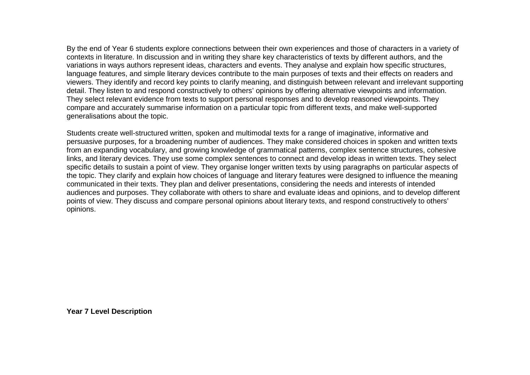By the end of Year 6 students explore connections between their own experiences and those of characters in a variety of contexts in literature. In discussion and in writing they share key characteristics of texts by different authors, and the variations in ways authors represent ideas, characters and events. They analyse and explain how specific structures, language features, and simple literary devices contribute to the main purposes of texts and their effects on readers and viewers. They identify and record key points to clarify meaning, and distinguish between relevant and irrelevant supporting detail. They listen to and respond constructively to others' opinions by offering alternative viewpoints and information. They select relevant evidence from texts to support personal responses and to develop reasoned viewpoints. They compare and accurately summarise information on a particular topic from different texts, and make well-supported generalisations about the topic.

Students create well-structured written, spoken and multimodal texts for a range of imaginative, informative and persuasive purposes, for a broadening number of audiences. They make considered choices in spoken and written texts from an expanding vocabulary, and growing knowledge of grammatical patterns, complex sentence structures, cohesive links, and literary devices. They use some complex sentences to connect and develop ideas in written texts. They select specific details to sustain a point of view. They organise longer written texts by using paragraphs on particular aspects of the topic. They clarify and explain how choices of language and literary features were designed to influence the meaning communicated in their texts. They plan and deliver presentations, considering the needs and interests of intended audiences and purposes. They collaborate with others to share and evaluate ideas and opinions, and to develop different points of view. They discuss and compare personal opinions about literary texts, and respond constructively to others' opinions.

**Year 7 Level Description**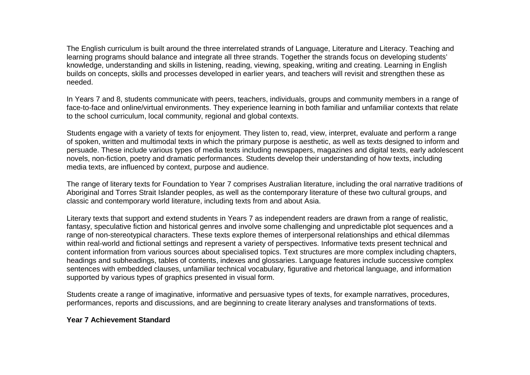The English curriculum is built around the three interrelated strands of Language, Literature and Literacy. Teaching and learning programs should balance and integrate all three strands. Together the strands focus on developing students' knowledge, understanding and skills in listening, reading, viewing, speaking, writing and creating. Learning in English builds on concepts, skills and processes developed in earlier years, and teachers will revisit and strengthen these as needed.

In Years 7 and 8, students communicate with peers, teachers, individuals, groups and community members in a range of face-to-face and online/virtual environments. They experience learning in both familiar and unfamiliar contexts that relate to the school curriculum, local community, regional and global contexts.

Students engage with a variety of texts for enjoyment. They listen to, read, view, interpret, evaluate and perform a range of spoken, written and multimodal texts in which the primary purpose is aesthetic, as well as texts designed to inform and persuade. These include various types of media texts including newspapers, magazines and digital texts, early adolescent novels, non-fiction, poetry and dramatic performances. Students develop their understanding of how texts, including media texts, are influenced by context, purpose and audience.

The range of literary texts for Foundation to Year 7 comprises Australian literature, including the oral narrative traditions of Aboriginal and Torres Strait Islander peoples, as well as the contemporary literature of these two cultural groups, and classic and contemporary world literature, including texts from and about Asia.

Literary texts that support and extend students in Years 7 as independent readers are drawn from a range of realistic, fantasy, speculative fiction and historical genres and involve some challenging and unpredictable plot sequences and a range of non-stereotypical characters. These texts explore themes of interpersonal relationships and ethical dilemmas within real-world and fictional settings and represent a variety of perspectives. Informative texts present technical and content information from various sources about specialised topics. Text structures are more complex including chapters, headings and subheadings, tables of contents, indexes and glossaries. Language features include successive complex sentences with embedded clauses, unfamiliar technical vocabulary, figurative and rhetorical language, and information supported by various types of graphics presented in visual form.

Students create a range of imaginative, informative and persuasive types of texts, for example narratives, procedures, performances, reports and discussions, and are beginning to create literary analyses and transformations of texts.

## **Year 7 Achievement Standard**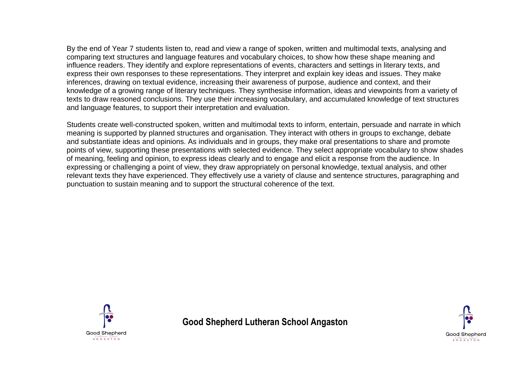By the end of Year 7 students listen to, read and view a range of spoken, written and multimodal texts, analysing and comparing text structures and language features and vocabulary choices, to show how these shape meaning and influence readers. They identify and explore representations of events, characters and settings in literary texts, and express their own responses to these representations. They interpret and explain key ideas and issues. They make inferences, drawing on textual evidence, increasing their awareness of purpose, audience and context, and their knowledge of a growing range of literary techniques. They synthesise information, ideas and viewpoints from a variety of texts to draw reasoned conclusions. They use their increasing vocabulary, and accumulated knowledge of text structures and language features, to support their interpretation and evaluation.

Students create well-constructed spoken, written and multimodal texts to inform, entertain, persuade and narrate in which meaning is supported by planned structures and organisation. They interact with others in groups to exchange, debate and substantiate ideas and opinions. As individuals and in groups, they make oral presentations to share and promote points of view, supporting these presentations with selected evidence. They select appropriate vocabulary to show shades of meaning, feeling and opinion, to express ideas clearly and to engage and elicit a response from the audience. In expressing or challenging a point of view, they draw appropriately on personal knowledge, textual analysis, and other relevant texts they have experienced. They effectively use a variety of clause and sentence structures, paragraphing and punctuation to sustain meaning and to support the structural coherence of the text.



**Good Shepherd Lutheran School Angaston** 

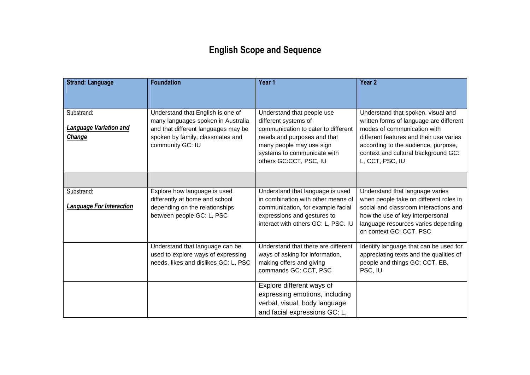## **English Scope and Sequence**

| <b>Strand: Language</b>                               | <b>Foundation</b>                                                                                                                                                      | Year 1                                                                                                                                                                                                        | Year <sub>2</sub>                                                                                                                                                                                                                                        |
|-------------------------------------------------------|------------------------------------------------------------------------------------------------------------------------------------------------------------------------|---------------------------------------------------------------------------------------------------------------------------------------------------------------------------------------------------------------|----------------------------------------------------------------------------------------------------------------------------------------------------------------------------------------------------------------------------------------------------------|
|                                                       |                                                                                                                                                                        |                                                                                                                                                                                                               |                                                                                                                                                                                                                                                          |
| Substrand:<br>Language Variation and<br><b>Change</b> | Understand that English is one of<br>many languages spoken in Australia<br>and that different languages may be<br>spoken by family, classmates and<br>community GC: IU | Understand that people use<br>different systems of<br>communication to cater to different<br>needs and purposes and that<br>many people may use sign<br>systems to communicate with<br>others GC:CCT, PSC, IU | Understand that spoken, visual and<br>written forms of language are different<br>modes of communication with<br>different features and their use varies<br>according to the audience, purpose,<br>context and cultural background GC:<br>L, CCT, PSC, IU |
|                                                       |                                                                                                                                                                        |                                                                                                                                                                                                               |                                                                                                                                                                                                                                                          |
| Substrand:<br><b>Language For Interaction</b>         | Explore how language is used<br>differently at home and school<br>depending on the relationships<br>between people GC: L, PSC                                          | Understand that language is used<br>in combination with other means of<br>communication, for example facial<br>expressions and gestures to<br>interact with others GC: L, PSC. IU                             | Understand that language varies<br>when people take on different roles in<br>social and classroom interactions and<br>how the use of key interpersonal<br>language resources varies depending<br>on context GC: CCT, PSC                                 |
|                                                       | Understand that language can be<br>used to explore ways of expressing<br>needs, likes and dislikes GC: L, PSC                                                          | Understand that there are different<br>ways of asking for information,<br>making offers and giving<br>commands GC: CCT, PSC                                                                                   | Identify language that can be used for<br>appreciating texts and the qualities of<br>people and things GC: CCT, EB,<br>PSC, IU                                                                                                                           |
|                                                       |                                                                                                                                                                        | Explore different ways of<br>expressing emotions, including<br>verbal, visual, body language<br>and facial expressions GC: L,                                                                                 |                                                                                                                                                                                                                                                          |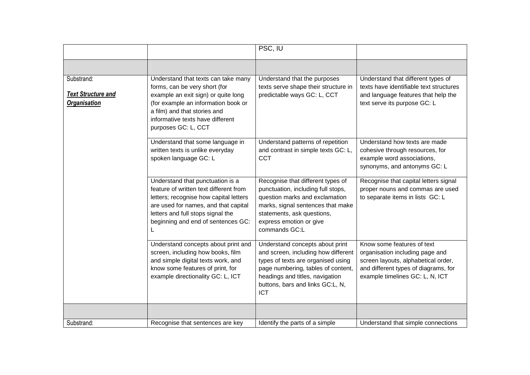|                                                                |                                                                                                                                                                                                                                               | PSC, IU                                                                                                                                                                                                                                 |                                                                                                                                                                                 |
|----------------------------------------------------------------|-----------------------------------------------------------------------------------------------------------------------------------------------------------------------------------------------------------------------------------------------|-----------------------------------------------------------------------------------------------------------------------------------------------------------------------------------------------------------------------------------------|---------------------------------------------------------------------------------------------------------------------------------------------------------------------------------|
|                                                                |                                                                                                                                                                                                                                               |                                                                                                                                                                                                                                         |                                                                                                                                                                                 |
| Substrand:<br><b>Text Structure and</b><br><b>Organisation</b> | Understand that texts can take many<br>forms, can be very short (for<br>example an exit sign) or quite long<br>(for example an information book or<br>a film) and that stories and<br>informative texts have different<br>purposes GC: L, CCT | Understand that the purposes<br>texts serve shape their structure in<br>predictable ways GC: L, CCT                                                                                                                                     | Understand that different types of<br>texts have identifiable text structures<br>and language features that help the<br>text serve its purpose GC: L                            |
|                                                                | Understand that some language in<br>written texts is unlike everyday<br>spoken language GC: L                                                                                                                                                 | Understand patterns of repetition<br>and contrast in simple texts GC: L,<br><b>CCT</b>                                                                                                                                                  | Understand how texts are made<br>cohesive through resources, for<br>example word associations,<br>synonyms, and antonyms GC: L                                                  |
|                                                                | Understand that punctuation is a<br>feature of written text different from<br>letters; recognise how capital letters<br>are used for names, and that capital<br>letters and full stops signal the<br>beginning and end of sentences GC:       | Recognise that different types of<br>punctuation, including full stops,<br>question marks and exclamation<br>marks, signal sentences that make<br>statements, ask questions,<br>express emotion or give<br>commands GC:L                | Recognise that capital letters signal<br>proper nouns and commas are used<br>to separate items in lists GC: L                                                                   |
|                                                                | Understand concepts about print and<br>screen, including how books, film<br>and simple digital texts work, and<br>know some features of print, for<br>example directionality GC: L, ICT                                                       | Understand concepts about print<br>and screen, including how different<br>types of texts are organised using<br>page numbering, tables of content,<br>headings and titles, navigation<br>buttons, bars and links GC:L, N,<br><b>ICT</b> | Know some features of text<br>organisation including page and<br>screen layouts, alphabetical order,<br>and different types of diagrams, for<br>example timelines GC: L, N, ICT |
| Substrand:                                                     | Recognise that sentences are key                                                                                                                                                                                                              | Identify the parts of a simple                                                                                                                                                                                                          | Understand that simple connections                                                                                                                                              |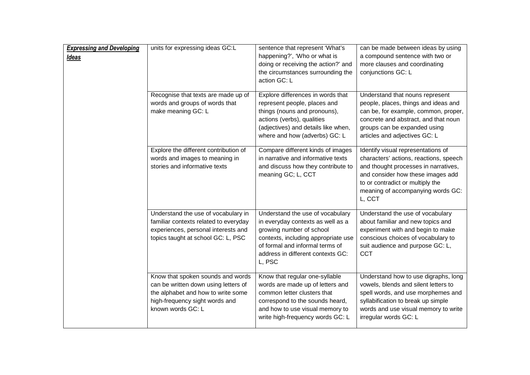| <b>Expressing and Developing</b><br><b>Ideas</b> | units for expressing ideas GC:L                                                                                                                                        | sentence that represent 'What's<br>happening?', 'Who or what is<br>doing or receiving the action?' and<br>the circumstances surrounding the<br>action GC: L                                                                | can be made between ideas by using<br>a compound sentence with two or<br>more clauses and coordinating<br>conjunctions GC: L                                                                                                                 |
|--------------------------------------------------|------------------------------------------------------------------------------------------------------------------------------------------------------------------------|----------------------------------------------------------------------------------------------------------------------------------------------------------------------------------------------------------------------------|----------------------------------------------------------------------------------------------------------------------------------------------------------------------------------------------------------------------------------------------|
|                                                  | Recognise that texts are made up of<br>words and groups of words that<br>make meaning GC: L                                                                            | Explore differences in words that<br>represent people, places and<br>things (nouns and pronouns),<br>actions (verbs), qualities<br>(adjectives) and details like when,<br>where and how (adverbs) GC: L                    | Understand that nouns represent<br>people, places, things and ideas and<br>can be, for example, common, proper,<br>concrete and abstract, and that noun<br>groups can be expanded using<br>articles and adjectives GC: L                     |
|                                                  | Explore the different contribution of<br>words and images to meaning in<br>stories and informative texts                                                               | Compare different kinds of images<br>in narrative and informative texts<br>and discuss how they contribute to<br>meaning GC; L, CCT                                                                                        | Identify visual representations of<br>characters' actions, reactions, speech<br>and thought processes in narratives,<br>and consider how these images add<br>to or contradict or multiply the<br>meaning of accompanying words GC:<br>L, CCT |
|                                                  | Understand the use of vocabulary in<br>familiar contexts related to everyday<br>experiences, personal interests and<br>topics taught at school GC: L, PSC              | Understand the use of vocabulary<br>in everyday contexts as well as a<br>growing number of school<br>contexts, including appropriate use<br>of formal and informal terms of<br>address in different contexts GC:<br>L, PSC | Understand the use of vocabulary<br>about familiar and new topics and<br>experiment with and begin to make<br>conscious choices of vocabulary to<br>suit audience and purpose GC: L,<br><b>CCT</b>                                           |
|                                                  | Know that spoken sounds and words<br>can be written down using letters of<br>the alphabet and how to write some<br>high-frequency sight words and<br>known words GC: L | Know that regular one-syllable<br>words are made up of letters and<br>common letter clusters that<br>correspond to the sounds heard,<br>and how to use visual memory to<br>write high-frequency words GC: L                | Understand how to use digraphs, long<br>vowels, blends and silent letters to<br>spell words, and use morphemes and<br>syllabification to break up simple<br>words and use visual memory to write<br>irregular words GC: L                    |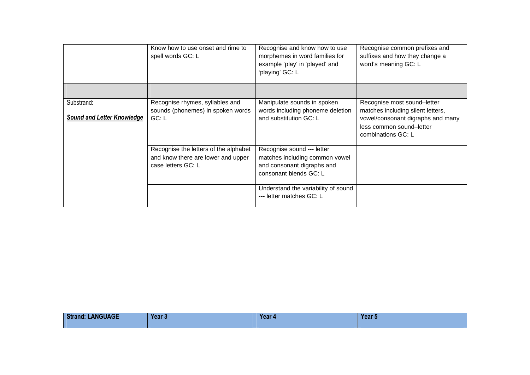|                                                 | Know how to use onset and rime to<br>spell words GC: L                                            | Recognise and know how to use<br>morphemes in word families for<br>example 'play' in 'played' and<br>'playing' GC: L | Recognise common prefixes and<br>suffixes and how they change a<br>word's meaning GC: L                                                                 |
|-------------------------------------------------|---------------------------------------------------------------------------------------------------|----------------------------------------------------------------------------------------------------------------------|---------------------------------------------------------------------------------------------------------------------------------------------------------|
|                                                 |                                                                                                   |                                                                                                                      |                                                                                                                                                         |
| Substrand:<br><b>Sound and Letter Knowledge</b> | Recognise rhymes, syllables and<br>sounds (phonemes) in spoken words<br>GC: L                     | Manipulate sounds in spoken<br>words including phoneme deletion<br>and substitution GC: L                            | Recognise most sound-letter<br>matches including silent letters,<br>vowel/consonant digraphs and many<br>less common sound-letter<br>combinations GC: L |
|                                                 | Recognise the letters of the alphabet<br>and know there are lower and upper<br>case letters GC: L | Recognise sound --- letter<br>matches including common vowel<br>and consonant digraphs and<br>consonant blends GC: L |                                                                                                                                                         |
|                                                 |                                                                                                   | Understand the variability of sound<br>--- letter matches GC: L                                                      |                                                                                                                                                         |

| Strand: LANGUAGE | Year 5 | $\mathbf{v}$<br>Year 4 | Year 5 |
|------------------|--------|------------------------|--------|
|                  |        |                        |        |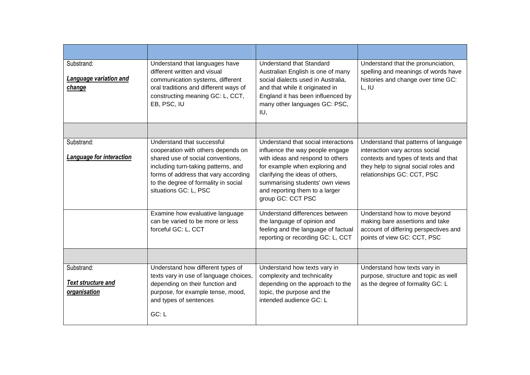| Substrand:<br>Language variation and<br>change          | Understand that languages have<br>different written and visual<br>communication systems, different<br>oral traditions and different ways of<br>constructing meaning GC: L, CCT,<br>EB, PSC, IU                                                        | <b>Understand that Standard</b><br>Australian English is one of many<br>social dialects used in Australia,<br>and that while it originated in<br>England it has been influenced by<br>many other languages GC: PSC,<br>IU,                                                | Understand that the pronunciation,<br>spelling and meanings of words have<br>histories and change over time GC:<br>L, IU                                                             |
|---------------------------------------------------------|-------------------------------------------------------------------------------------------------------------------------------------------------------------------------------------------------------------------------------------------------------|---------------------------------------------------------------------------------------------------------------------------------------------------------------------------------------------------------------------------------------------------------------------------|--------------------------------------------------------------------------------------------------------------------------------------------------------------------------------------|
|                                                         |                                                                                                                                                                                                                                                       |                                                                                                                                                                                                                                                                           |                                                                                                                                                                                      |
| Substrand:<br><b>Language for interaction</b>           | Understand that successful<br>cooperation with others depends on<br>shared use of social conventions,<br>including turn-taking patterns, and<br>forms of address that vary according<br>to the degree of formality in social<br>situations GC: L, PSC | Understand that social interactions<br>influence the way people engage<br>with ideas and respond to others<br>for example when exploring and<br>clarifying the ideas of others,<br>summarising students' own views<br>and reporting them to a larger<br>group GC: CCT PSC | Understand that patterns of language<br>interaction vary across social<br>contexts and types of texts and that<br>they help to signal social roles and<br>relationships GC: CCT, PSC |
|                                                         | Examine how evaluative language<br>can be varied to be more or less<br>forceful GC: L, CCT                                                                                                                                                            | Understand differences between<br>the language of opinion and<br>feeling and the language of factual<br>reporting or recording GC: L, CCT                                                                                                                                 | Understand how to move beyond<br>making bare assertions and take<br>account of differing perspectives and<br>points of view GC: CCT, PSC                                             |
|                                                         |                                                                                                                                                                                                                                                       |                                                                                                                                                                                                                                                                           |                                                                                                                                                                                      |
| Substrand:<br><b>Text structure and</b><br>organisation | Understand how different types of<br>texts vary in use of language choices,<br>depending on their function and<br>purpose, for example tense, mood,<br>and types of sentences<br>GC: L                                                                | Understand how texts vary in<br>complexity and technicality<br>depending on the approach to the<br>topic, the purpose and the<br>intended audience GC: L                                                                                                                  | Understand how texts vary in<br>purpose, structure and topic as well<br>as the degree of formality GC: L                                                                             |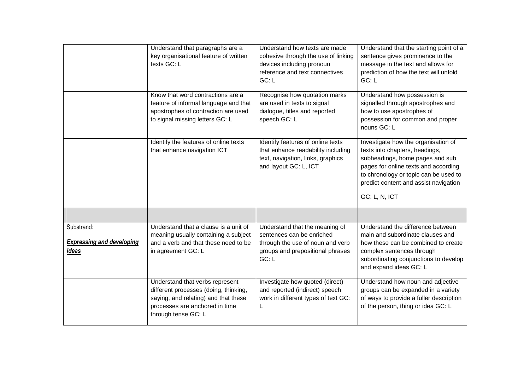|                                                                | Understand that paragraphs are a<br>key organisational feature of written<br>texts GC: L                                                                                  | Understand how texts are made<br>cohesive through the use of linking<br>devices including pronoun<br>reference and text connectives<br>GC: L | Understand that the starting point of a<br>sentence gives prominence to the<br>message in the text and allows for<br>prediction of how the text will unfold<br>GC: L                                                                                |
|----------------------------------------------------------------|---------------------------------------------------------------------------------------------------------------------------------------------------------------------------|----------------------------------------------------------------------------------------------------------------------------------------------|-----------------------------------------------------------------------------------------------------------------------------------------------------------------------------------------------------------------------------------------------------|
|                                                                | Know that word contractions are a<br>feature of informal language and that<br>apostrophes of contraction are used<br>to signal missing letters GC: L                      | Recognise how quotation marks<br>are used in texts to signal<br>dialogue, titles and reported<br>speech GC: L                                | Understand how possession is<br>signalled through apostrophes and<br>how to use apostrophes of<br>possession for common and proper<br>nouns GC: L                                                                                                   |
|                                                                | Identify the features of online texts<br>that enhance navigation ICT                                                                                                      | Identify features of online texts<br>that enhance readability including<br>text, navigation, links, graphics<br>and layout GC: L, ICT        | Investigate how the organisation of<br>texts into chapters, headings,<br>subheadings, home pages and sub<br>pages for online texts and according<br>to chronology or topic can be used to<br>predict content and assist navigation<br>GC: L, N, ICT |
|                                                                |                                                                                                                                                                           |                                                                                                                                              |                                                                                                                                                                                                                                                     |
| Substrand:<br><b>Expressing and developing</b><br><u>ideas</u> | Understand that a clause is a unit of<br>meaning usually containing a subject<br>and a verb and that these need to be<br>in agreement GC: L                               | Understand that the meaning of<br>sentences can be enriched<br>through the use of noun and verb<br>groups and prepositional phrases<br>GC: L | Understand the difference between<br>main and subordinate clauses and<br>how these can be combined to create<br>complex sentences through<br>subordinating conjunctions to develop<br>and expand ideas GC: L                                        |
|                                                                | Understand that verbs represent<br>different processes (doing, thinking,<br>saying, and relating) and that these<br>processes are anchored in time<br>through tense GC: L | Investigate how quoted (direct)<br>and reported (indirect) speech<br>work in different types of text GC:<br>L                                | Understand how noun and adjective<br>groups can be expanded in a variety<br>of ways to provide a fuller description<br>of the person, thing or idea GC: L                                                                                           |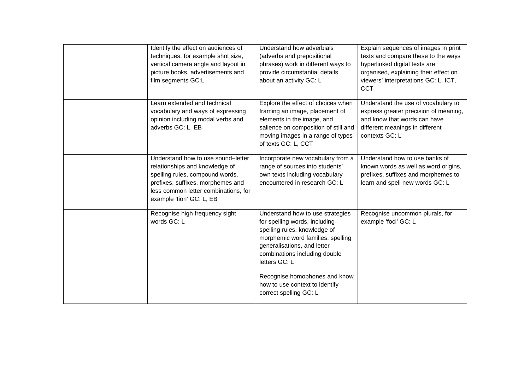| Identify the effect on audiences of<br>techniques, for example shot size,<br>vertical camera angle and layout in<br>picture books, advertisements and<br>film segments GC:L                                      | Understand how adverbials<br>(adverbs and prepositional<br>phrases) work in different ways to<br>provide circumstantial details<br>about an activity GC: L                                                              | Explain sequences of images in print<br>texts and compare these to the ways<br>hyperlinked digital texts are<br>organised, explaining their effect on<br>viewers' interpretations GC: L, ICT,<br><b>CCT</b> |
|------------------------------------------------------------------------------------------------------------------------------------------------------------------------------------------------------------------|-------------------------------------------------------------------------------------------------------------------------------------------------------------------------------------------------------------------------|-------------------------------------------------------------------------------------------------------------------------------------------------------------------------------------------------------------|
| Learn extended and technical<br>vocabulary and ways of expressing<br>opinion including modal verbs and<br>adverbs GC: L, EB                                                                                      | Explore the effect of choices when<br>framing an image, placement of<br>elements in the image, and<br>salience on composition of still and<br>moving images in a range of types<br>of texts GC: L, CCT                  | Understand the use of vocabulary to<br>express greater precision of meaning,<br>and know that words can have<br>different meanings in different<br>contexts GC: L                                           |
| Understand how to use sound-letter<br>relationships and knowledge of<br>spelling rules, compound words,<br>prefixes, suffixes, morphemes and<br>less common letter combinations, for<br>example 'tion' GC: L, EB | Incorporate new vocabulary from a<br>range of sources into students'<br>own texts including vocabulary<br>encountered in research GC: L                                                                                 | Understand how to use banks of<br>known words as well as word origins,<br>prefixes, suffixes and morphemes to<br>learn and spell new words GC: L                                                            |
| Recognise high frequency sight<br>words GC: L                                                                                                                                                                    | Understand how to use strategies<br>for spelling words, including<br>spelling rules, knowledge of<br>morphemic word families, spelling<br>generalisations, and letter<br>combinations including double<br>letters GC: L | Recognise uncommon plurals, for<br>example 'foci' GC: L                                                                                                                                                     |
|                                                                                                                                                                                                                  | Recognise homophones and know<br>how to use context to identify<br>correct spelling GC: L                                                                                                                               |                                                                                                                                                                                                             |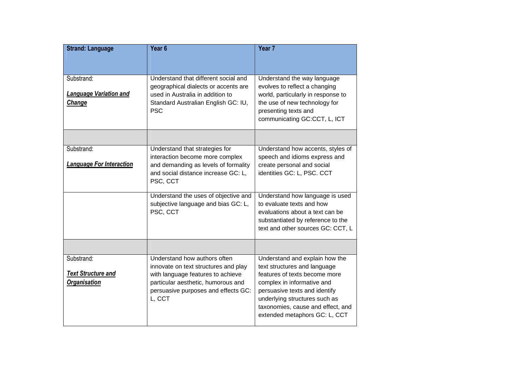| <b>Strand: Language</b>                                        | Year <sub>6</sub>                                                                                                                                                                                | Year <sub>7</sub>                                                                                                                                                                                                                                                     |
|----------------------------------------------------------------|--------------------------------------------------------------------------------------------------------------------------------------------------------------------------------------------------|-----------------------------------------------------------------------------------------------------------------------------------------------------------------------------------------------------------------------------------------------------------------------|
| Substrand:<br><b>Language Variation and</b><br>Change          | Understand that different social and<br>geographical dialects or accents are<br>used in Australia in addition to<br>Standard Australian English GC: IU,<br><b>PSC</b>                            | Understand the way language<br>evolves to reflect a changing<br>world, particularly in response to<br>the use of new technology for<br>presenting texts and<br>communicating GC:CCT, L, ICT                                                                           |
|                                                                |                                                                                                                                                                                                  |                                                                                                                                                                                                                                                                       |
| Substrand:<br><b>Language For Interaction</b>                  | Understand that strategies for<br>interaction become more complex<br>and demanding as levels of formality<br>and social distance increase GC: L,<br>PSC, CCT                                     | Understand how accents, styles of<br>speech and idioms express and<br>create personal and social<br>identities GC: L, PSC. CCT                                                                                                                                        |
|                                                                | Understand the uses of objective and<br>subjective language and bias GC: L,<br>PSC, CCT                                                                                                          | Understand how language is used<br>to evaluate texts and how<br>evaluations about a text can be<br>substantiated by reference to the<br>text and other sources GC: CCT, L                                                                                             |
|                                                                |                                                                                                                                                                                                  |                                                                                                                                                                                                                                                                       |
| Substrand:<br><b>Text Structure and</b><br><b>Organisation</b> | Understand how authors often<br>innovate on text structures and play<br>with language features to achieve<br>particular aesthetic, humorous and<br>persuasive purposes and effects GC:<br>L, CCT | Understand and explain how the<br>text structures and language<br>features of texts become more<br>complex in informative and<br>persuasive texts and identify<br>underlying structures such as<br>taxonomies, cause and effect, and<br>extended metaphors GC: L, CCT |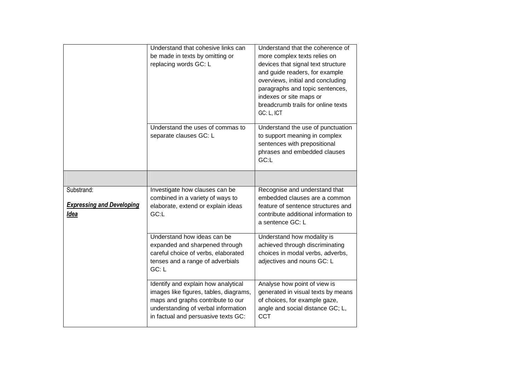|                                                        | Understand that cohesive links can<br>be made in texts by omitting or<br>replacing words GC: L                                                                                                   | Understand that the coherence of<br>more complex texts relies on<br>devices that signal text structure<br>and guide readers, for example<br>overviews, initial and concluding<br>paragraphs and topic sentences,<br>indexes or site maps or<br>breadcrumb trails for online texts<br>GC: L, ICT |
|--------------------------------------------------------|--------------------------------------------------------------------------------------------------------------------------------------------------------------------------------------------------|-------------------------------------------------------------------------------------------------------------------------------------------------------------------------------------------------------------------------------------------------------------------------------------------------|
|                                                        | Understand the uses of commas to<br>separate clauses GC: L                                                                                                                                       | Understand the use of punctuation<br>to support meaning in complex<br>sentences with prepositional<br>phrases and embedded clauses<br>GC:L                                                                                                                                                      |
|                                                        |                                                                                                                                                                                                  |                                                                                                                                                                                                                                                                                                 |
| Substrand:<br><b>Expressing and Developing</b><br>Idea | Investigate how clauses can be<br>combined in a variety of ways to<br>elaborate, extend or explain ideas<br>GC:L                                                                                 | Recognise and understand that<br>embedded clauses are a common<br>feature of sentence structures and<br>contribute additional information to<br>a sentence GC: L                                                                                                                                |
|                                                        | Understand how ideas can be<br>expanded and sharpened through<br>careful choice of verbs, elaborated<br>tenses and a range of adverbials<br>GC: L                                                | Understand how modality is<br>achieved through discriminating<br>choices in modal verbs, adverbs,<br>adjectives and nouns GC: L                                                                                                                                                                 |
|                                                        | Identify and explain how analytical<br>images like figures, tables, diagrams,<br>maps and graphs contribute to our<br>understanding of verbal information<br>in factual and persuasive texts GC: | Analyse how point of view is<br>generated in visual texts by means<br>of choices, for example gaze,<br>angle and social distance GC; L,<br><b>CCT</b>                                                                                                                                           |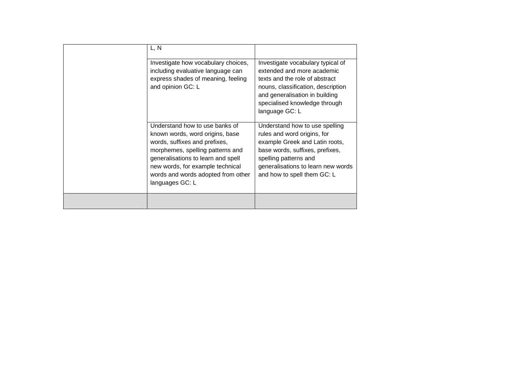| L, N                                                                                                                                                                                                                                                                      |                                                                                                                                                                                                                                  |
|---------------------------------------------------------------------------------------------------------------------------------------------------------------------------------------------------------------------------------------------------------------------------|----------------------------------------------------------------------------------------------------------------------------------------------------------------------------------------------------------------------------------|
| Investigate how vocabulary choices,<br>including evaluative language can<br>express shades of meaning, feeling<br>and opinion GC: L                                                                                                                                       | Investigate vocabulary typical of<br>extended and more academic<br>texts and the role of abstract<br>nouns, classification, description<br>and generalisation in building<br>specialised knowledge through<br>language GC: L     |
| Understand how to use banks of<br>known words, word origins, base<br>words, suffixes and prefixes,<br>morphemes, spelling patterns and<br>generalisations to learn and spell<br>new words, for example technical<br>words and words adopted from other<br>languages GC: L | Understand how to use spelling<br>rules and word origins, for<br>example Greek and Latin roots,<br>base words, suffixes, prefixes,<br>spelling patterns and<br>generalisations to learn new words<br>and how to spell them GC: L |
|                                                                                                                                                                                                                                                                           |                                                                                                                                                                                                                                  |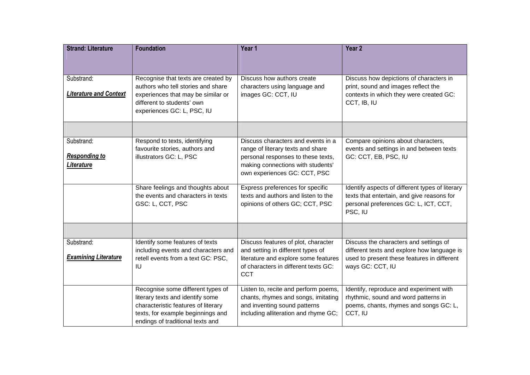| <b>Strand: Literature</b>                        | <b>Foundation</b>                                                                                                                                                                     | Year 1                                                                                                                                                                             | Year <sub>2</sub>                                                                                                                                        |
|--------------------------------------------------|---------------------------------------------------------------------------------------------------------------------------------------------------------------------------------------|------------------------------------------------------------------------------------------------------------------------------------------------------------------------------------|----------------------------------------------------------------------------------------------------------------------------------------------------------|
|                                                  |                                                                                                                                                                                       |                                                                                                                                                                                    |                                                                                                                                                          |
| Substrand:<br><b>Literature and Context</b>      | Recognise that texts are created by<br>authors who tell stories and share<br>experiences that may be similar or<br>different to students' own<br>experiences GC: L, PSC, IU           | Discuss how authors create<br>characters using language and<br>images GC: CCT, IU                                                                                                  | Discuss how depictions of characters in<br>print, sound and images reflect the<br>contexts in which they were created GC:<br>CCT, IB, IU                 |
|                                                  |                                                                                                                                                                                       |                                                                                                                                                                                    |                                                                                                                                                          |
| Substrand:<br><b>Responding to</b><br>Literature | Respond to texts, identifying<br>favourite stories, authors and<br>illustrators GC: L, PSC                                                                                            | Discuss characters and events in a<br>range of literary texts and share<br>personal responses to these texts,<br>making connections with students'<br>own experiences GC: CCT, PSC | Compare opinions about characters,<br>events and settings in and between texts<br>GC: CCT, EB, PSC, IU                                                   |
|                                                  | Share feelings and thoughts about<br>the events and characters in texts<br>GSC: L, CCT, PSC                                                                                           | Express preferences for specific<br>texts and authors and listen to the<br>opinions of others GC; CCT, PSC                                                                         | Identify aspects of different types of literary<br>texts that entertain, and give reasons for<br>personal preferences GC: L, ICT, CCT,<br>PSC, IU        |
|                                                  |                                                                                                                                                                                       |                                                                                                                                                                                    |                                                                                                                                                          |
| Substrand:<br><b>Examining Literature</b>        | Identify some features of texts<br>including events and characters and<br>retell events from a text GC: PSC,<br>IU                                                                    | Discuss features of plot, character<br>and setting in different types of<br>literature and explore some features<br>of characters in different texts GC:<br><b>CCT</b>             | Discuss the characters and settings of<br>different texts and explore how language is<br>used to present these features in different<br>ways GC: CCT, IU |
|                                                  | Recognise some different types of<br>literary texts and identify some<br>characteristic features of literary<br>texts, for example beginnings and<br>endings of traditional texts and | Listen to, recite and perform poems,<br>chants, rhymes and songs, imitating<br>and inventing sound patterns<br>including alliteration and rhyme GC;                                | Identify, reproduce and experiment with<br>rhythmic, sound and word patterns in<br>poems, chants, rhymes and songs GC: L,<br>CCT, IU                     |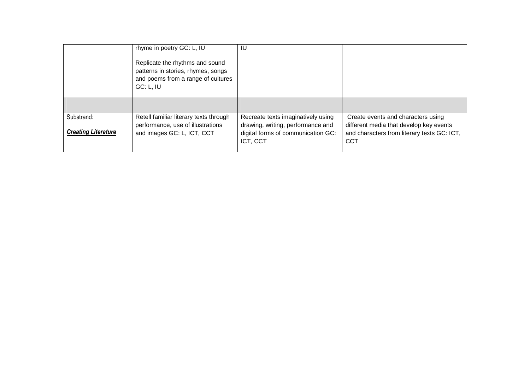|                            | rhyme in poetry GC: L, IU                                                                                                | IU                                                                                  |                                                                                                      |
|----------------------------|--------------------------------------------------------------------------------------------------------------------------|-------------------------------------------------------------------------------------|------------------------------------------------------------------------------------------------------|
|                            | Replicate the rhythms and sound<br>patterns in stories, rhymes, songs<br>and poems from a range of cultures<br>GC: L, IU |                                                                                     |                                                                                                      |
|                            |                                                                                                                          |                                                                                     |                                                                                                      |
| Substrand:                 | Retell familiar literary texts through                                                                                   | Recreate texts imaginatively using                                                  | Create events and characters using                                                                   |
| <b>Creating Literature</b> | performance, use of illustrations<br>and images GC: L, ICT, CCT                                                          | drawing, writing, performance and<br>digital forms of communication GC:<br>ICT, CCT | different media that develop key events<br>and characters from literary texts GC: ICT,<br><b>CCT</b> |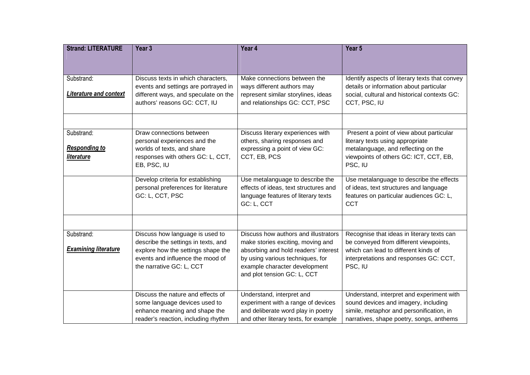| <b>Strand: LITERATURE</b>     | Year <sub>3</sub>                                                      | Year 4                                                                   | Year 5                                                                                  |
|-------------------------------|------------------------------------------------------------------------|--------------------------------------------------------------------------|-----------------------------------------------------------------------------------------|
|                               |                                                                        |                                                                          |                                                                                         |
| Substrand:                    | Discuss texts in which characters,                                     | Make connections between the                                             | Identify aspects of literary texts that convey                                          |
| <b>Literature and context</b> | events and settings are portrayed in                                   | ways different authors may<br>represent similar storylines, ideas        | details or information about particular<br>social, cultural and historical contexts GC: |
|                               | different ways, and speculate on the<br>authors' reasons GC: CCT, IU   | and relationships GC: CCT, PSC                                           | CCT, PSC, IU                                                                            |
|                               |                                                                        |                                                                          |                                                                                         |
|                               |                                                                        |                                                                          |                                                                                         |
| Substrand:                    | Draw connections between<br>personal experiences and the               | Discuss literary experiences with<br>others, sharing responses and       | Present a point of view about particular<br>literary texts using appropriate            |
| <u>Responding to</u>          | worlds of texts, and share                                             | expressing a point of view GC:                                           | metalanguage, and reflecting on the                                                     |
| <u>literature</u>             | responses with others GC: L, CCT,                                      | CCT, EB, PCS                                                             | viewpoints of others GC: ICT, CCT, EB,                                                  |
|                               | EB, PSC, IU                                                            |                                                                          | PSC, IU                                                                                 |
|                               | Develop criteria for establishing                                      | Use metalanguage to describe the                                         | Use metalanguage to describe the effects                                                |
|                               | personal preferences for literature                                    | effects of ideas, text structures and                                    | of ideas, text structures and language                                                  |
|                               | GC: L, CCT, PSC                                                        | language features of literary texts<br>GC: L, CCT                        | features on particular audiences GC: L,<br><b>CCT</b>                                   |
|                               |                                                                        |                                                                          |                                                                                         |
|                               |                                                                        |                                                                          |                                                                                         |
| Substrand:                    | Discuss how language is used to                                        | Discuss how authors and illustrators                                     | Recognise that ideas in literary texts can                                              |
| <b>Examining literature</b>   | describe the settings in texts, and                                    | make stories exciting, moving and                                        | be conveyed from different viewpoints,<br>which can lead to different kinds of          |
|                               | explore how the settings shape the<br>events and influence the mood of | absorbing and hold readers' interest<br>by using various techniques, for | interpretations and responses GC: CCT,                                                  |
|                               | the narrative GC: L, CCT                                               | example character development                                            | PSC, IU                                                                                 |
|                               |                                                                        | and plot tension GC: L, CCT                                              |                                                                                         |
|                               |                                                                        |                                                                          |                                                                                         |
|                               | Discuss the nature and effects of                                      | Understand, interpret and                                                | Understand, interpret and experiment with                                               |
|                               | some language devices used to                                          | experiment with a range of devices                                       | sound devices and imagery, including                                                    |
|                               | enhance meaning and shape the                                          | and deliberate word play in poetry                                       | simile, metaphor and personification, in                                                |
|                               | reader's reaction, including rhythm                                    | and other literary texts, for example                                    | narratives, shape poetry, songs, anthems                                                |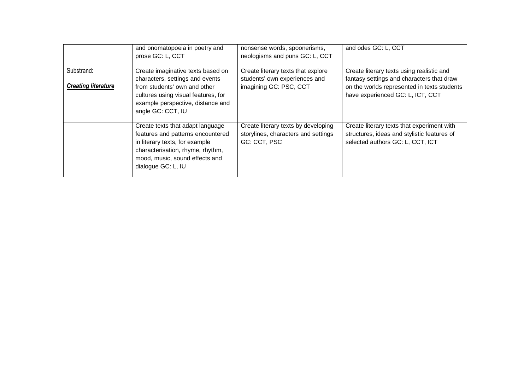|                                          | and onomatopoeia in poetry and<br>prose GC: L, CCT                                                                                                                                                    | nonsense words, spoonerisms,<br>neologisms and puns GC: L, CCT                                | and odes GC: L, CCT                                                                                                                                                       |
|------------------------------------------|-------------------------------------------------------------------------------------------------------------------------------------------------------------------------------------------------------|-----------------------------------------------------------------------------------------------|---------------------------------------------------------------------------------------------------------------------------------------------------------------------------|
| Substrand:<br><b>Creating literature</b> | Create imaginative texts based on<br>characters, settings and events<br>from students' own and other<br>cultures using visual features, for<br>example perspective, distance and<br>angle GC: CCT, IU | Create literary texts that explore<br>students' own experiences and<br>imagining GC: PSC, CCT | Create literary texts using realistic and<br>fantasy settings and characters that draw<br>on the worlds represented in texts students<br>have experienced GC: L, ICT, CCT |
|                                          | Create texts that adapt language<br>features and patterns encountered<br>in literary texts, for example<br>characterisation, rhyme, rhythm,<br>mood, music, sound effects and<br>dialogue GC: L, IU   | Create literary texts by developing<br>storylines, characters and settings<br>GC: CCT, PSC    | Create literary texts that experiment with<br>structures, ideas and stylistic features of<br>selected authors GC: L, CCT, ICT                                             |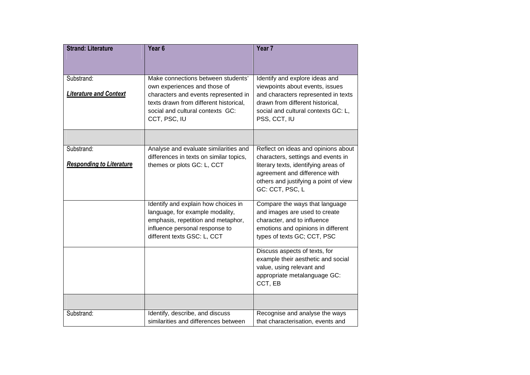| <b>Strand: Literature</b>                     | Year <sub>6</sub>                                                                                                                                                                                        | Year <sub>7</sub>                                                                                                                                                                                              |
|-----------------------------------------------|----------------------------------------------------------------------------------------------------------------------------------------------------------------------------------------------------------|----------------------------------------------------------------------------------------------------------------------------------------------------------------------------------------------------------------|
|                                               |                                                                                                                                                                                                          |                                                                                                                                                                                                                |
| Substrand:<br><b>Literature and Context</b>   | Make connections between students'<br>own experiences and those of<br>characters and events represented in<br>texts drawn from different historical,<br>social and cultural contexts GC:<br>CCT, PSC, IU | Identify and explore ideas and<br>viewpoints about events, issues<br>and characters represented in texts<br>drawn from different historical,<br>social and cultural contexts GC: L,<br>PSS, CCT, IU            |
|                                               |                                                                                                                                                                                                          |                                                                                                                                                                                                                |
| Substrand:<br><b>Responding to Literature</b> | Analyse and evaluate similarities and<br>differences in texts on similar topics,<br>themes or plots GC: L, CCT                                                                                           | Reflect on ideas and opinions about<br>characters, settings and events in<br>literary texts, identifying areas of<br>agreement and difference with<br>others and justifying a point of view<br>GC: CCT, PSC, L |
|                                               | Identify and explain how choices in<br>language, for example modality,<br>emphasis, repetition and metaphor,<br>influence personal response to<br>different texts GSC: L, CCT                            | Compare the ways that language<br>and images are used to create<br>character, and to influence<br>emotions and opinions in different<br>types of texts GC; CCT, PSC                                            |
|                                               |                                                                                                                                                                                                          | Discuss aspects of texts, for<br>example their aesthetic and social<br>value, using relevant and<br>appropriate metalanguage GC:<br>CCT, EB                                                                    |
|                                               |                                                                                                                                                                                                          |                                                                                                                                                                                                                |
| Substrand:                                    | Identify, describe, and discuss<br>similarities and differences between                                                                                                                                  | Recognise and analyse the ways<br>that characterisation, events and                                                                                                                                            |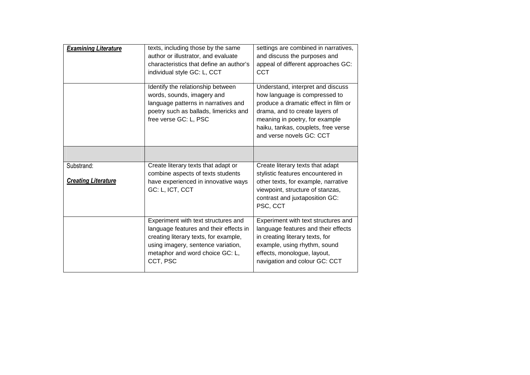| <b>Examining Literature</b>              | texts, including those by the same<br>author or illustrator, and evaluate<br>characteristics that define an author's<br>individual style GC: L, CCT                                                         | settings are combined in narratives,<br>and discuss the purposes and<br>appeal of different approaches GC:<br><b>CCT</b>                                                                                                                          |
|------------------------------------------|-------------------------------------------------------------------------------------------------------------------------------------------------------------------------------------------------------------|---------------------------------------------------------------------------------------------------------------------------------------------------------------------------------------------------------------------------------------------------|
|                                          | Identify the relationship between<br>words, sounds, imagery and<br>language patterns in narratives and<br>poetry such as ballads, limericks and<br>free verse GC: L, PSC                                    | Understand, interpret and discuss<br>how language is compressed to<br>produce a dramatic effect in film or<br>drama, and to create layers of<br>meaning in poetry, for example<br>haiku, tankas, couplets, free verse<br>and verse novels GC: CCT |
|                                          |                                                                                                                                                                                                             |                                                                                                                                                                                                                                                   |
| Substrand:<br><b>Creating Literature</b> | Create literary texts that adapt or<br>combine aspects of texts students<br>have experienced in innovative ways<br>GC: L, ICT, CCT                                                                          | Create literary texts that adapt<br>stylistic features encountered in<br>other texts, for example, narrative<br>viewpoint, structure of stanzas,<br>contrast and juxtaposition GC:<br>PSC, CCT                                                    |
|                                          | Experiment with text structures and<br>language features and their effects in<br>creating literary texts, for example,<br>using imagery, sentence variation,<br>metaphor and word choice GC: L,<br>CCT, PSC | Experiment with text structures and<br>language features and their effects<br>in creating literary texts, for<br>example, using rhythm, sound<br>effects, monologue, layout,<br>navigation and colour GC: CCT                                     |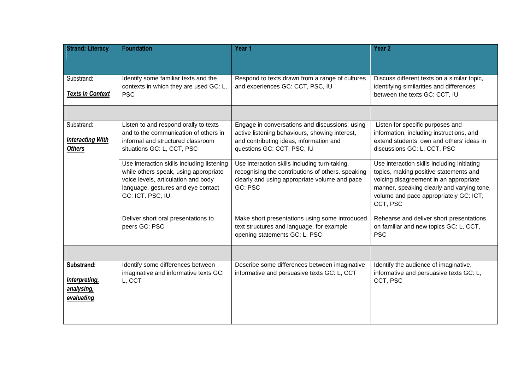| <b>Strand: Literacy</b>                                 | <b>Foundation</b>                                                                                                                                                                    | Year 1                                                                                                                                                                    | Year <sub>2</sub>                                                                                                                                                                                                                   |
|---------------------------------------------------------|--------------------------------------------------------------------------------------------------------------------------------------------------------------------------------------|---------------------------------------------------------------------------------------------------------------------------------------------------------------------------|-------------------------------------------------------------------------------------------------------------------------------------------------------------------------------------------------------------------------------------|
|                                                         |                                                                                                                                                                                      |                                                                                                                                                                           |                                                                                                                                                                                                                                     |
| Substrand:                                              | Identify some familiar texts and the<br>contexts in which they are used GC: L,                                                                                                       | Respond to texts drawn from a range of cultures<br>and experiences GC: CCT, PSC, IU                                                                                       | Discuss different texts on a similar topic,<br>identifying similarities and differences                                                                                                                                             |
| <b>Texts in Context</b>                                 | <b>PSC</b>                                                                                                                                                                           |                                                                                                                                                                           | between the texts GC: CCT, IU                                                                                                                                                                                                       |
|                                                         |                                                                                                                                                                                      |                                                                                                                                                                           |                                                                                                                                                                                                                                     |
| Substrand:<br><b>Interacting With</b><br><b>Others</b>  | Listen to and respond orally to texts<br>and to the communication of others in<br>informal and structured classroom<br>situations GC: L, CCT, PSC                                    | Engage in conversations and discussions, using<br>active listening behaviours, showing interest,<br>and contributing ideas, information and<br>questions GC: CCT, PSC, IU | Listen for specific purposes and<br>information, including instructions, and<br>extend students' own and others' ideas in<br>discussions GC: L, CCT, PSC                                                                            |
|                                                         | Use interaction skills including listening<br>while others speak, using appropriate<br>voice levels, articulation and body<br>language, gestures and eye contact<br>GC: ICT. PSC, IU | Use interaction skills including turn-taking,<br>recognising the contributions of others, speaking<br>clearly and using appropriate volume and pace<br>GC: PSC            | Use interaction skills including initiating<br>topics, making positive statements and<br>voicing disagreement in an appropriate<br>manner, speaking clearly and varying tone,<br>volume and pace appropriately GC: ICT,<br>CCT, PSC |
|                                                         | Deliver short oral presentations to<br>peers GC: PSC                                                                                                                                 | Make short presentations using some introduced<br>text structures and language, for example<br>opening statements GC: L, PSC                                              | Rehearse and deliver short presentations<br>on familiar and new topics GC: L, CCT,<br><b>PSC</b>                                                                                                                                    |
|                                                         |                                                                                                                                                                                      |                                                                                                                                                                           |                                                                                                                                                                                                                                     |
| Substrand:<br>Interpreting,<br>analysing,<br>evaluating | Identify some differences between<br>imaginative and informative texts GC:<br>L, CCT                                                                                                 | Describe some differences between imaginative<br>informative and persuasive texts GC: L, CCT                                                                              | Identify the audience of imaginative,<br>informative and persuasive texts GC: L,<br>CCT, PSC                                                                                                                                        |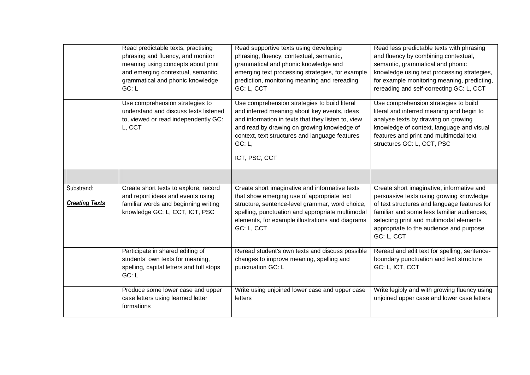|                       | Read predictable texts, practising<br>phrasing and fluency, and monitor<br>meaning using concepts about print<br>and emerging contextual, semantic,<br>grammatical and phonic knowledge<br>GC: L | Read supportive texts using developing<br>phrasing, fluency, contextual, semantic,<br>grammatical and phonic knowledge and<br>emerging text processing strategies, for example<br>prediction, monitoring meaning and rereading<br>GC: L, CCT                                       | Read less predictable texts with phrasing<br>and fluency by combining contextual,<br>semantic, grammatical and phonic<br>knowledge using text processing strategies,<br>for example monitoring meaning, predicting,<br>rereading and self-correcting GC: L, CCT |
|-----------------------|--------------------------------------------------------------------------------------------------------------------------------------------------------------------------------------------------|------------------------------------------------------------------------------------------------------------------------------------------------------------------------------------------------------------------------------------------------------------------------------------|-----------------------------------------------------------------------------------------------------------------------------------------------------------------------------------------------------------------------------------------------------------------|
|                       | Use comprehension strategies to<br>understand and discuss texts listened<br>to, viewed or read independently GC:<br>L, CCT                                                                       | Use comprehension strategies to build literal<br>and inferred meaning about key events, ideas<br>and information in texts that they listen to, view<br>and read by drawing on growing knowledge of<br>context, text structures and language features<br>$GC: L$ ,<br>ICT, PSC, CCT | Use comprehension strategies to build<br>literal and inferred meaning and begin to<br>analyse texts by drawing on growing<br>knowledge of context, language and visual<br>features and print and multimodal text<br>structures GC: L, CCT, PSC                  |
|                       |                                                                                                                                                                                                  |                                                                                                                                                                                                                                                                                    |                                                                                                                                                                                                                                                                 |
| Substrand:            | Create short texts to explore, record<br>and report ideas and events using                                                                                                                       | Create short imaginative and informative texts<br>that show emerging use of appropriate text                                                                                                                                                                                       | Create short imaginative, informative and<br>persuasive texts using growing knowledge                                                                                                                                                                           |
| <b>Creating Texts</b> | familiar words and beginning writing<br>knowledge GC: L, CCT, ICT, PSC                                                                                                                           | structure, sentence-level grammar, word choice,<br>spelling, punctuation and appropriate multimodal<br>elements, for example illustrations and diagrams<br>GC: L, CCT                                                                                                              | of text structures and language features for<br>familiar and some less familiar audiences,<br>selecting print and multimodal elements<br>appropriate to the audience and purpose<br>GC: L, CCT                                                                  |
|                       | Participate in shared editing of<br>students' own texts for meaning,<br>spelling, capital letters and full stops<br>GC: L                                                                        | Reread student's own texts and discuss possible<br>changes to improve meaning, spelling and<br>punctuation GC: L                                                                                                                                                                   | Reread and edit text for spelling, sentence-<br>boundary punctuation and text structure<br>GC: L, ICT, CCT                                                                                                                                                      |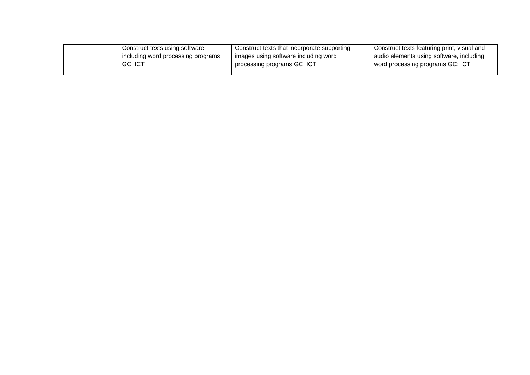| Construct texts using software     | Construct texts that incorporate supporting | Construct texts featuring print, visual and |
|------------------------------------|---------------------------------------------|---------------------------------------------|
| including word processing programs | images using software including word        | audio elements using software, including    |
| GC: ICT                            | processing programs GC: ICT                 | word processing programs GC: ICT            |
|                                    |                                             |                                             |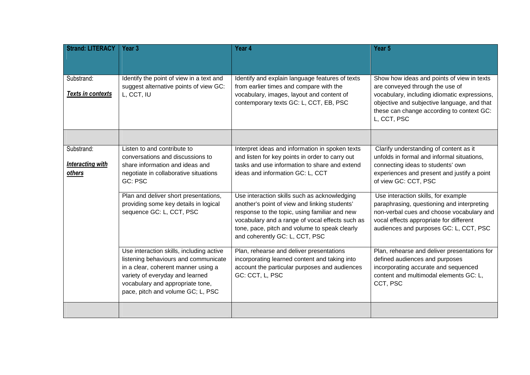| <b>Strand: LITERACY</b>                         | Year <sub>3</sub>                                                                                                                                                                                                                                                    | Year 4                                                                                                                                                                                                                                                                                                                                                                                                                                                                          | Year <sub>5</sub>                                                                                                                                                                                                                                                                                                                                                                                                       |
|-------------------------------------------------|----------------------------------------------------------------------------------------------------------------------------------------------------------------------------------------------------------------------------------------------------------------------|---------------------------------------------------------------------------------------------------------------------------------------------------------------------------------------------------------------------------------------------------------------------------------------------------------------------------------------------------------------------------------------------------------------------------------------------------------------------------------|-------------------------------------------------------------------------------------------------------------------------------------------------------------------------------------------------------------------------------------------------------------------------------------------------------------------------------------------------------------------------------------------------------------------------|
| Substrand:<br><b>Texts in contexts</b>          | Identify the point of view in a text and<br>suggest alternative points of view GC:<br>L, CCT, IU                                                                                                                                                                     | Identify and explain language features of texts<br>from earlier times and compare with the<br>vocabulary, images, layout and content of<br>contemporary texts GC: L, CCT, EB, PSC                                                                                                                                                                                                                                                                                               | Show how ideas and points of view in texts<br>are conveyed through the use of<br>vocabulary, including idiomatic expressions,<br>objective and subjective language, and that<br>these can change according to context GC:<br>L, CCT, PSC                                                                                                                                                                                |
|                                                 |                                                                                                                                                                                                                                                                      |                                                                                                                                                                                                                                                                                                                                                                                                                                                                                 |                                                                                                                                                                                                                                                                                                                                                                                                                         |
| Substrand:<br><b>Interacting with</b><br>others | Listen to and contribute to<br>conversations and discussions to<br>share information and ideas and<br>negotiate in collaborative situations<br>GC: PSC<br>Plan and deliver short presentations,<br>providing some key details in logical<br>sequence GC: L, CCT, PSC | Interpret ideas and information in spoken texts<br>and listen for key points in order to carry out<br>tasks and use information to share and extend<br>ideas and information GC: L, CCT<br>Use interaction skills such as acknowledging<br>another's point of view and linking students'<br>response to the topic, using familiar and new<br>vocabulary and a range of vocal effects such as<br>tone, pace, pitch and volume to speak clearly<br>and coherently GC: L, CCT, PSC | Clarify understanding of content as it<br>unfolds in formal and informal situations,<br>connecting ideas to students' own<br>experiences and present and justify a point<br>of view GC: CCT, PSC<br>Use interaction skills, for example<br>paraphrasing, questioning and interpreting<br>non-verbal cues and choose vocabulary and<br>vocal effects appropriate for different<br>audiences and purposes GC: L, CCT, PSC |
|                                                 | Use interaction skills, including active<br>listening behaviours and communicate<br>in a clear, coherent manner using a<br>variety of everyday and learned<br>vocabulary and appropriate tone,<br>pace, pitch and volume GC; L, PSC                                  | Plan, rehearse and deliver presentations<br>incorporating learned content and taking into<br>account the particular purposes and audiences<br>GC: CCT, L, PSC                                                                                                                                                                                                                                                                                                                   | Plan, rehearse and deliver presentations for<br>defined audiences and purposes<br>incorporating accurate and sequenced<br>content and multimodal elements GC: L,<br>CCT, PSC                                                                                                                                                                                                                                            |
|                                                 |                                                                                                                                                                                                                                                                      |                                                                                                                                                                                                                                                                                                                                                                                                                                                                                 |                                                                                                                                                                                                                                                                                                                                                                                                                         |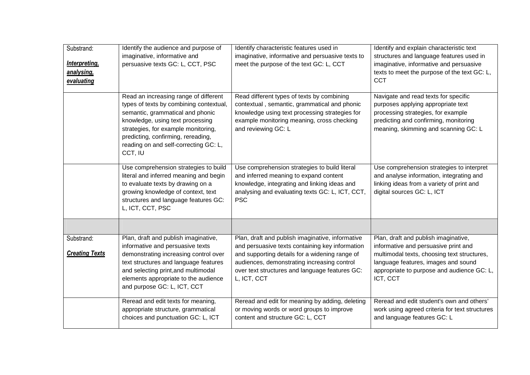| Substrand:<br>Interpreting,<br>analysing,<br>evaluating | Identify the audience and purpose of<br>imaginative, informative and<br>persuasive texts GC: L, CCT, PSC                                                                                                                                                                                  | Identify characteristic features used in<br>imaginative, informative and persuasive texts to<br>meet the purpose of the text GC: L, CCT                                                                                                                               | Identify and explain characteristic text<br>structures and language features used in<br>imaginative, informative and persuasive<br>texts to meet the purpose of the text GC: L,<br><b>CCT</b>                                |
|---------------------------------------------------------|-------------------------------------------------------------------------------------------------------------------------------------------------------------------------------------------------------------------------------------------------------------------------------------------|-----------------------------------------------------------------------------------------------------------------------------------------------------------------------------------------------------------------------------------------------------------------------|------------------------------------------------------------------------------------------------------------------------------------------------------------------------------------------------------------------------------|
|                                                         | Read an increasing range of different<br>types of texts by combining contextual,<br>semantic, grammatical and phonic<br>knowledge, using text processing<br>strategies, for example monitoring,<br>predicting, confirming, rereading,<br>reading on and self-correcting GC: L,<br>CCT, IU | Read different types of texts by combining<br>contextual, semantic, grammatical and phonic<br>knowledge using text processing strategies for<br>example monitoring meaning, cross checking<br>and reviewing GC: L                                                     | Navigate and read texts for specific<br>purposes applying appropriate text<br>processing strategies, for example<br>predicting and confirming, monitoring<br>meaning, skimming and scanning GC: L                            |
|                                                         | Use comprehension strategies to build<br>literal and inferred meaning and begin<br>to evaluate texts by drawing on a<br>growing knowledge of context, text<br>structures and language features GC:<br>L, ICT, CCT, PSC                                                                    | Use comprehension strategies to build literal<br>and inferred meaning to expand content<br>knowledge, integrating and linking ideas and<br>analysing and evaluating texts GC: L, ICT, CCT,<br><b>PSC</b>                                                              | Use comprehension strategies to interpret<br>and analyse information, integrating and<br>linking ideas from a variety of print and<br>digital sources GC: L, ICT                                                             |
|                                                         |                                                                                                                                                                                                                                                                                           |                                                                                                                                                                                                                                                                       |                                                                                                                                                                                                                              |
| Substrand:<br><b>Creating Texts</b>                     | Plan, draft and publish imaginative,<br>informative and persuasive texts<br>demonstrating increasing control over<br>text structures and language features<br>and selecting print, and multimodal<br>elements appropriate to the audience<br>and purpose GC: L, ICT, CCT                  | Plan, draft and publish imaginative, informative<br>and persuasive texts containing key information<br>and supporting details for a widening range of<br>audiences, demonstrating increasing control<br>over text structures and language features GC:<br>L, ICT, CCT | Plan, draft and publish imaginative,<br>informative and persuasive print and<br>multimodal texts, choosing text structures,<br>language features, images and sound<br>appropriate to purpose and audience GC: L,<br>ICT, CCT |
|                                                         | Reread and edit texts for meaning,<br>appropriate structure, grammatical<br>choices and punctuation GC: L, ICT                                                                                                                                                                            | Reread and edit for meaning by adding, deleting<br>or moving words or word groups to improve<br>content and structure GC: L, CCT                                                                                                                                      | Reread and edit student's own and others'<br>work using agreed criteria for text structures<br>and language features GC: L                                                                                                   |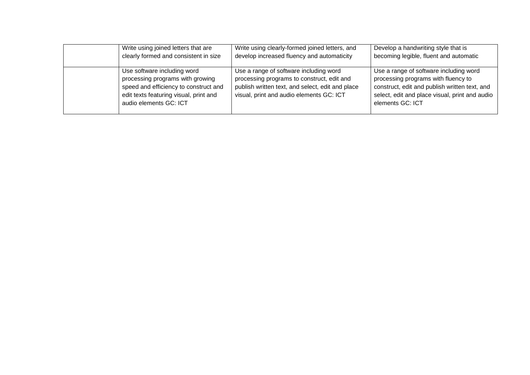| Write using joined letters that are                                                                                                                                          | Write using clearly-formed joined letters, and                                                                                                                                       | Develop a handwriting style that is                                                                                                                                                                  |
|------------------------------------------------------------------------------------------------------------------------------------------------------------------------------|--------------------------------------------------------------------------------------------------------------------------------------------------------------------------------------|------------------------------------------------------------------------------------------------------------------------------------------------------------------------------------------------------|
| clearly formed and consistent in size                                                                                                                                        | develop increased fluency and automaticity                                                                                                                                           | becoming legible, fluent and automatic                                                                                                                                                               |
| Use software including word<br>processing programs with growing<br>speed and efficiency to construct and<br>edit texts featuring visual, print and<br>audio elements GC: ICT | Use a range of software including word<br>processing programs to construct, edit and<br>publish written text, and select, edit and place<br>visual, print and audio elements GC: ICT | Use a range of software including word<br>processing programs with fluency to<br>construct, edit and publish written text, and<br>select, edit and place visual, print and audio<br>elements GC: ICT |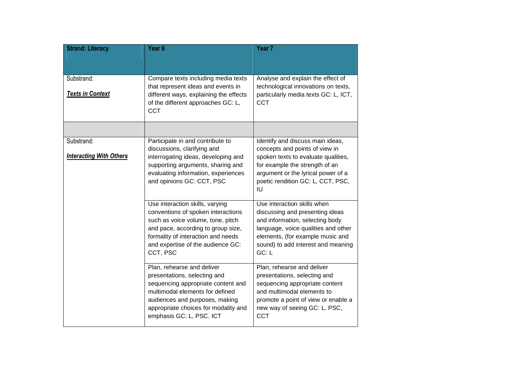| <b>Strand: Literacy</b>                      | Year <sub>6</sub>                                                                                                                                                                                                                         | Year <sub>7</sub>                                                                                                                                                                                                            |
|----------------------------------------------|-------------------------------------------------------------------------------------------------------------------------------------------------------------------------------------------------------------------------------------------|------------------------------------------------------------------------------------------------------------------------------------------------------------------------------------------------------------------------------|
| Substrand:<br><b>Texts in Context</b>        | Compare texts including media texts<br>that represent ideas and events in<br>different ways, explaining the effects<br>of the different approaches GC: L,<br><b>CCT</b>                                                                   | Analyse and explain the effect of<br>technological innovations on texts,<br>particularly media texts GC: L, ICT,<br><b>CCT</b>                                                                                               |
|                                              |                                                                                                                                                                                                                                           |                                                                                                                                                                                                                              |
| Substrand:<br><b>Interacting With Others</b> | Participate in and contribute to<br>discussions, clarifying and<br>interrogating ideas, developing and<br>supporting arguments, sharing and<br>evaluating information, experiences<br>and opinions GC: CCT, PSC                           | Identify and discuss main ideas,<br>concepts and points of view in<br>spoken texts to evaluate qualities,<br>for example the strength of an<br>argument or the lyrical power of a<br>poetic rendition GC: L, CCT, PSC,<br>IU |
|                                              | Use interaction skills, varying<br>conventions of spoken interactions<br>such as voice volume, tone, pitch<br>and pace, according to group size,<br>formality of interaction and needs<br>and expertise of the audience GC:<br>CCT, PSC   | Use interaction skills when<br>discussing and presenting ideas<br>and information, selecting body<br>language, voice qualities and other<br>elements, (for example music and<br>sound) to add interest and meaning<br>GC: L  |
|                                              | Plan, rehearse and deliver<br>presentations, selecting and<br>sequencing appropriate content and<br>multimodal elements for defined<br>audiences and purposes, making<br>appropriate choices for modality and<br>emphasis GC: L, PSC. ICT | Plan, rehearse and deliver<br>presentations, selecting and<br>sequencing appropriate content<br>and multimodal elements to<br>promote a point of view or enable a<br>new way of seeing GC: L, PSC,<br><b>CCT</b>             |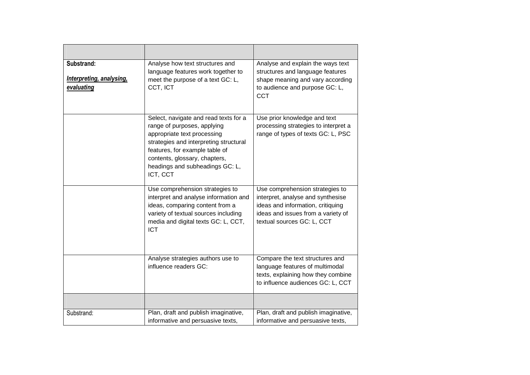| Substrand:<br>Interpreting, analysing,<br>evaluating | Analyse how text structures and<br>language features work together to<br>meet the purpose of a text GC: L,<br>CCT, ICT                                                                                                                                          | Analyse and explain the ways text<br>structures and language features<br>shape meaning and vary according<br>to audience and purpose GC: L,<br><b>CCT</b>                     |
|------------------------------------------------------|-----------------------------------------------------------------------------------------------------------------------------------------------------------------------------------------------------------------------------------------------------------------|-------------------------------------------------------------------------------------------------------------------------------------------------------------------------------|
|                                                      | Select, navigate and read texts for a<br>range of purposes, applying<br>appropriate text processing<br>strategies and interpreting structural<br>features, for example table of<br>contents, glossary, chapters,<br>headings and subheadings GC: L,<br>ICT, CCT | Use prior knowledge and text<br>processing strategies to interpret a<br>range of types of texts GC: L, PSC                                                                    |
|                                                      | Use comprehension strategies to<br>interpret and analyse information and<br>ideas, comparing content from a<br>variety of textual sources including<br>media and digital texts GC: L, CCT,<br><b>ICT</b>                                                        | Use comprehension strategies to<br>interpret, analyse and synthesise<br>ideas and information, critiquing<br>ideas and issues from a variety of<br>textual sources GC: L, CCT |
|                                                      | Analyse strategies authors use to<br>influence readers GC:                                                                                                                                                                                                      | Compare the text structures and<br>language features of multimodal<br>texts, explaining how they combine<br>to influence audiences GC: L, CCT                                 |
|                                                      |                                                                                                                                                                                                                                                                 |                                                                                                                                                                               |
| Substrand:                                           | Plan, draft and publish imaginative,<br>informative and persuasive texts,                                                                                                                                                                                       | Plan, draft and publish imaginative,<br>informative and persuasive texts,                                                                                                     |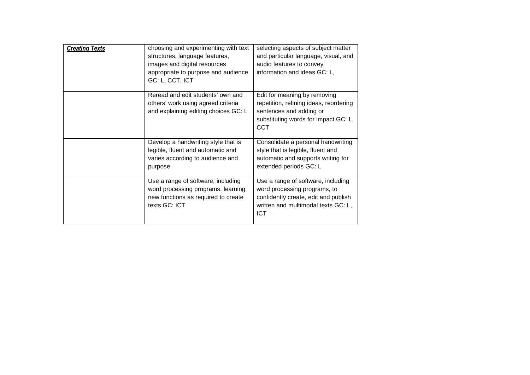| <b>Creating Texts</b> | choosing and experimenting with text<br>structures, language features,<br>images and digital resources<br>appropriate to purpose and audience<br>GC: L, CCT, ICT | selecting aspects of subject matter<br>and particular language, visual, and<br>audio features to convey<br>information and ideas GC: L,                  |
|-----------------------|------------------------------------------------------------------------------------------------------------------------------------------------------------------|----------------------------------------------------------------------------------------------------------------------------------------------------------|
|                       | Reread and edit students' own and<br>others' work using agreed criteria<br>and explaining editing choices GC: L                                                  | Edit for meaning by removing<br>repetition, refining ideas, reordering<br>sentences and adding or<br>substituting words for impact GC: L,<br><b>CCT</b>  |
|                       | Develop a handwriting style that is<br>legible, fluent and automatic and<br>varies according to audience and<br>purpose                                          | Consolidate a personal handwriting<br>style that is legible, fluent and<br>automatic and supports writing for<br>extended periods GC: L                  |
|                       | Use a range of software, including<br>word processing programs, learning<br>new functions as required to create<br>texts GC: ICT                                 | Use a range of software, including<br>word processing programs, to<br>confidently create, edit and publish<br>written and multimodal texts GC: L,<br>ICT |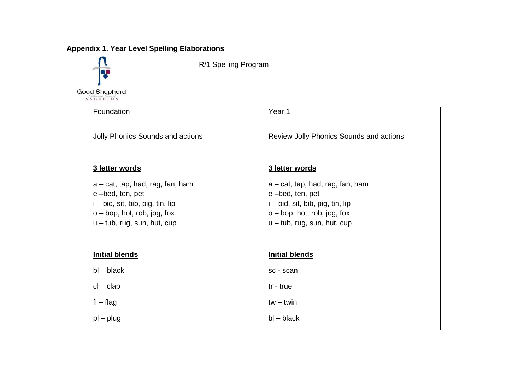## **Appendix 1. Year Level Spelling Elaborations**



R/1 Spelling Program

 $\begin{array}{c}\mathsf{Good}\ \mathsf{Shepherd}\\ \hline \mathsf{A}\ \mathsf{N}\ \mathsf{G}\ \mathsf{A}\ \mathsf{s}\ \mathsf{T}\ \mathsf{G}'\ \mathsf{N}\end{array}$ 

| Foundation                          | Year 1                                  |
|-------------------------------------|-----------------------------------------|
| Jolly Phonics Sounds and actions    | Review Jolly Phonics Sounds and actions |
| 3 letter words                      | 3 letter words                          |
| $a - cat$ , tap, had, rag, fan, ham | $a - cat$ , tap, had, rag, fan, ham     |
| e-bed, ten, pet                     | e-bed, ten, pet                         |
| $i - bid$ , sit, bib, pig, tin, lip | i – bid, sit, bib, pig, tin, lip        |
| $o - bop$ , hot, rob, jog, fox      | o - bop, hot, rob, jog, fox             |
| $u - tub$ , rug, sun, hut, cup      | $u - tub$ , rug, sun, hut, cup          |
|                                     |                                         |
| <b>Initial blends</b>               | <b>Initial blends</b>                   |
| $bl - black$                        | sc - scan                               |
| $cl - clap$                         | tr - true                               |
| $fl - flag$                         | $tw - twin$                             |
| $pl$ – plug                         | $bl - black$                            |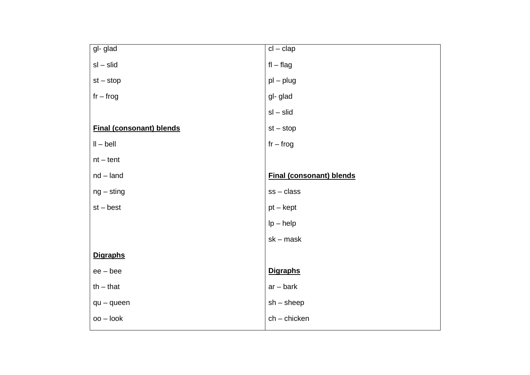| gl- glad                        | $cl - clap$                     |
|---------------------------------|---------------------------------|
| $sl$ – slid                     | $fl - flag$                     |
| $st - stop$                     | $pl$ – $plug$                   |
| $fr - frog$                     | gl-glad                         |
|                                 | $sl - s$ lid                    |
| <b>Final (consonant) blends</b> | $st - stop$                     |
| $II - bell$                     | $fr - frog$                     |
| $nt - tent$                     |                                 |
| $nd - land$                     | <b>Final (consonant) blends</b> |
| $ng$ – sting                    | $ss - class$                    |
| $st - best$                     | $pt - kept$                     |
|                                 | $lp - help$                     |
|                                 | $sk - mask$                     |
| <b>Digraphs</b>                 |                                 |
| $ee - bee$                      | <b>Digraphs</b>                 |
| $th$ – that                     | $ar - bark$                     |
| $qu - queen$                    | $sh$ – sheep                    |
| oo - look                       | $ch$ – chicken                  |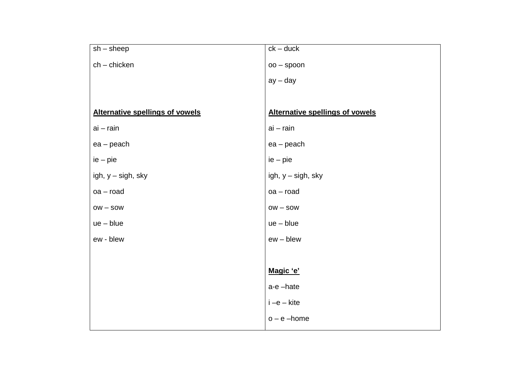| $sh$ – sheep                           | $ck - duck$                            |
|----------------------------------------|----------------------------------------|
| ch - chicken                           | $oo$ - spoon                           |
|                                        | $ay - day$                             |
|                                        |                                        |
| <b>Alternative spellings of vowels</b> | <b>Alternative spellings of vowels</b> |
| $ai - rain$                            | $ai - rain$                            |
| $ea - peach$                           | ea - peach                             |
| $ie - pie$                             | $ie - pie$                             |
| igh, y - sigh, sky                     | igh, y - sigh, sky                     |
| $oa - road$                            | $oa - road$                            |
| $OW - SOW$                             | $OW - SOW$                             |
| $ue - blue$                            | $ue - blue$                            |
| ew - blew                              | $ew - blew$                            |
|                                        |                                        |
|                                        | Magic 'e'                              |
|                                        | a-e-hate                               |
|                                        | $i - e - kite$                         |
|                                        | $o - e - home$                         |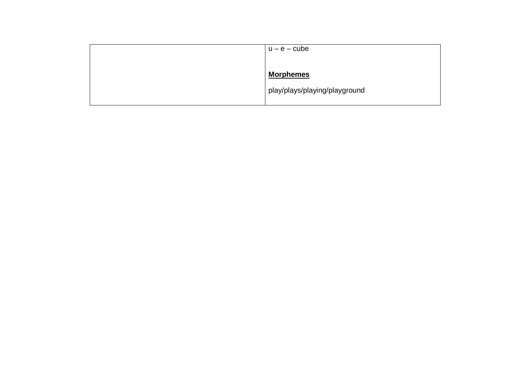| $u - e - c$ ube               |
|-------------------------------|
|                               |
| <b>Morphemes</b>              |
| play/plays/playing/playground |
|                               |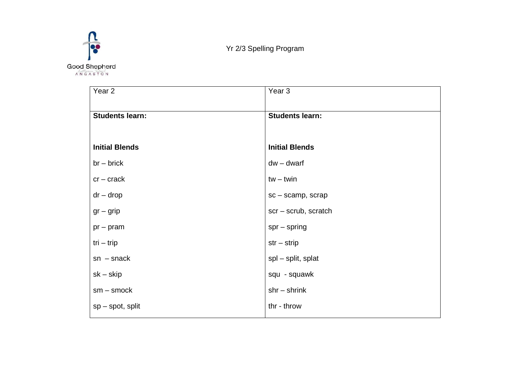

Yr 2/3 Spelling Program

Year 2 Year 3 **Students learn:Initial Blends** br – brick cr – crack  $dr - drop$ gr – grip pr – pram tri – trip sn – snack sk – skip sm – smock sp – spot, split **Students learn:Initial Blends** dw – dwarf tw – twin sc – scamp, scrap scr – scrub, scratch spr – spring str – strip spl – split, splat squ - squawk shr – shrink thr - throw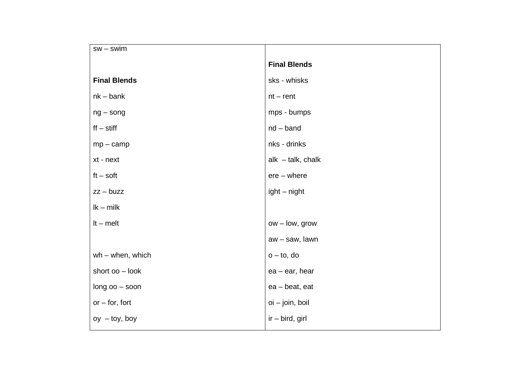| $sw - swim$         |                     |  |  |  |  |
|---------------------|---------------------|--|--|--|--|
|                     | <b>Final Blends</b> |  |  |  |  |
| <b>Final Blends</b> | sks - whisks        |  |  |  |  |
| $nk - bank$         | $nt$ – rent         |  |  |  |  |
| $ng - song$         | mps - bumps         |  |  |  |  |
| $ff -$ stiff        | $nd - band$         |  |  |  |  |
| $mp - camp$         | nks - drinks        |  |  |  |  |
| xt - next           | alk $-$ talk, chalk |  |  |  |  |
| $ft - soft$         | $ere - where$       |  |  |  |  |
| $zz - buzz$         | ight - night        |  |  |  |  |
| $lk - milk$         |                     |  |  |  |  |
| $It$ – melt         | $ow - low$ , grow   |  |  |  |  |
|                     | aw - saw, lawn      |  |  |  |  |
| wh - when, which    | $o - to$ , do       |  |  |  |  |
| short oo $-$ look   | ea - ear, hear      |  |  |  |  |
| $long$ oo $-$ soon  | ea - beat, eat      |  |  |  |  |
| or $-$ for, fort    | $oi - join$ , boil  |  |  |  |  |
| $oy - toy$ , boy    | $ir - bird, girl$   |  |  |  |  |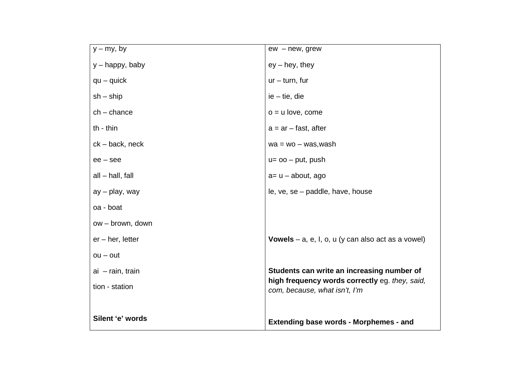| $y - my$ , by       | $ew - new$ , grew                                                               |
|---------------------|---------------------------------------------------------------------------------|
| y – happy, baby     | $ey - hey$ , they                                                               |
| $qu - quick$        | $ur - turn, fur$                                                                |
| $sh - ship$         | $ie - tie$ , die                                                                |
| $ch$ – chance       | $o = u$ love, come                                                              |
| th - thin           | $a = ar - fast$ , after                                                         |
| ck - back, neck     | $wa = wo - was, wash$                                                           |
| $ee - see$          | $u = 00 - put$ , push                                                           |
| $all - hall, fall$  | $a = u - about, ago$                                                            |
| ay – play, way      | le, ve, se - paddle, have, house                                                |
| oa - boat           |                                                                                 |
| ow - brown, down    |                                                                                 |
| $er - her$ , letter | <b>Vowels</b> – a, e, I, o, u (y can also act as a vowel)                       |
| $ou - out$          |                                                                                 |
| ai – rain, train    | Students can write an increasing number of                                      |
| tion - station      | high frequency words correctly eg. they, said,<br>com, because, what isn't, I'm |
|                     |                                                                                 |
| Silent 'e' words    | <b>Extending base words - Morphemes - and</b>                                   |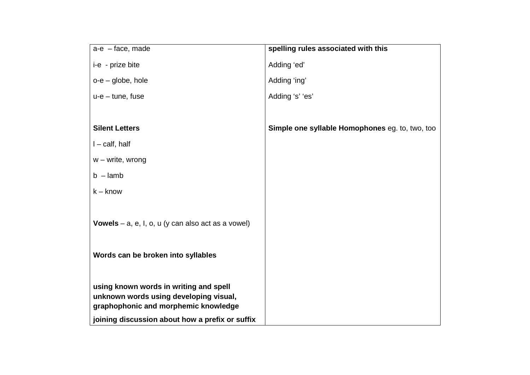| $a-e - face$ , made                                                            | spelling rules associated with this             |
|--------------------------------------------------------------------------------|-------------------------------------------------|
| i-e - prize bite                                                               | Adding 'ed'                                     |
| $o-e-globe, hole$                                                              | Adding 'ing'                                    |
| $u-e$ – tune, fuse                                                             | Adding 's' 'es'                                 |
|                                                                                |                                                 |
| <b>Silent Letters</b>                                                          | Simple one syllable Homophones eg. to, two, too |
| $I - \text{calf}$ , half                                                       |                                                 |
| $w - write$ , wrong                                                            |                                                 |
| $b -$ lamb                                                                     |                                                 |
| $k -$ know                                                                     |                                                 |
|                                                                                |                                                 |
| <b>Vowels</b> – a, e, l, o, u (y can also act as a vowel)                      |                                                 |
|                                                                                |                                                 |
| Words can be broken into syllables                                             |                                                 |
|                                                                                |                                                 |
| using known words in writing and spell                                         |                                                 |
| unknown words using developing visual,<br>graphophonic and morphemic knowledge |                                                 |
| joining discussion about how a prefix or suffix                                |                                                 |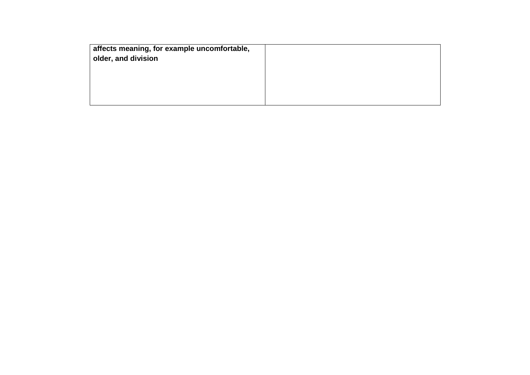| affects meaning, for example uncomfortable,<br>older, and division |  |
|--------------------------------------------------------------------|--|
|                                                                    |  |
|                                                                    |  |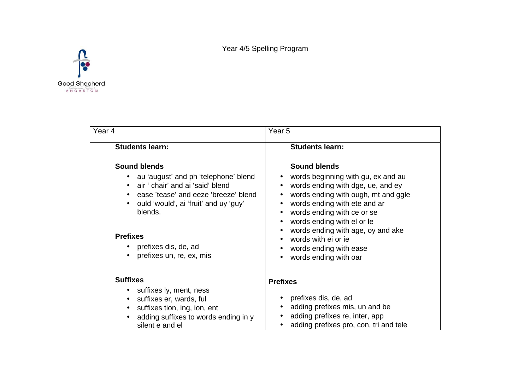

Year 4/5 Spelling Program

| Year 4                                                                                                                                                                                                                                                                                                          | Year <sub>5</sub>                                                                                                                                                                                                                                                                                                                                             |  |  |  |  |  |
|-----------------------------------------------------------------------------------------------------------------------------------------------------------------------------------------------------------------------------------------------------------------------------------------------------------------|---------------------------------------------------------------------------------------------------------------------------------------------------------------------------------------------------------------------------------------------------------------------------------------------------------------------------------------------------------------|--|--|--|--|--|
| <b>Students learn:</b>                                                                                                                                                                                                                                                                                          | <b>Students learn:</b>                                                                                                                                                                                                                                                                                                                                        |  |  |  |  |  |
| <b>Sound blends</b><br>• au 'august' and ph 'telephone' blend<br>• air ' chair' and ai 'said' blend<br>ease 'tease' and eeze 'breeze' blend<br>$\bullet$<br>ould 'would', ai 'fruit' and uy 'guy'<br>$\bullet$<br>blends.<br><b>Prefixes</b><br>• prefixes dis, de, ad<br>prefixes un, re, ex, mis<br>$\bullet$ | <b>Sound blends</b><br>words beginning with gu, ex and au<br>words ending with dge, ue, and ey<br>words ending with ough, mt and ggle<br>$\bullet$<br>words ending with ete and ar<br>words ending with ce or se<br>words ending with el or le<br>words ending with age, oy and ake<br>words with ei or ie<br>words ending with ease<br>words ending with oar |  |  |  |  |  |
| <b>Suffixes</b><br>• suffixes ly, ment, ness<br>suffixes er, wards, ful<br>$\bullet$<br>suffixes tion, ing, ion, ent<br>$\bullet$<br>adding suffixes to words ending in y<br>silent e and el                                                                                                                    | <b>Prefixes</b><br>prefixes dis, de, ad<br>adding prefixes mis, un and be<br>adding prefixes re, inter, app<br>adding prefixes pro, con, tri and tele                                                                                                                                                                                                         |  |  |  |  |  |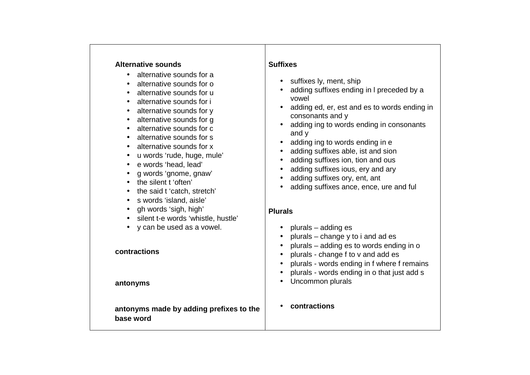| <b>Alternative sounds</b>                                                                                                                                                                                                                                                                                                                                                                                                                                                                                                                                                                            | <b>Suffixes</b>                                                                                                                                                                                                                                                                                                                                                                                                                                                |  |  |  |  |
|------------------------------------------------------------------------------------------------------------------------------------------------------------------------------------------------------------------------------------------------------------------------------------------------------------------------------------------------------------------------------------------------------------------------------------------------------------------------------------------------------------------------------------------------------------------------------------------------------|----------------------------------------------------------------------------------------------------------------------------------------------------------------------------------------------------------------------------------------------------------------------------------------------------------------------------------------------------------------------------------------------------------------------------------------------------------------|--|--|--|--|
| alternative sounds for a<br>$\bullet$<br>alternative sounds for o<br>$\bullet$<br>• alternative sounds for u<br>alternative sounds for i<br>$\bullet$<br>alternative sounds for y<br>$\bullet$<br>alternative sounds for g<br>$\bullet$<br>alternative sounds for c<br>$\bullet$<br>alternative sounds for s<br>$\bullet$<br>alternative sounds for x<br>$\bullet$<br>u words 'rude, huge, mule'<br>$\bullet$<br>e words 'head, lead'<br>$\bullet$<br>g words 'gnome, gnaw'<br>the silent t 'often'<br>$\bullet$<br>the said t 'catch, stretch'<br>$\bullet$<br>s words 'island, aisle'<br>$\bullet$ | • suffixes ly, ment, ship<br>adding suffixes ending in I preceded by a<br>vowel<br>• adding ed, er, est and es to words ending in<br>consonants and y<br>adding ing to words ending in consonants<br>and y<br>• adding ing to words ending in e<br>• adding suffixes able, ist and sion<br>• adding suffixes ion, tion and ous<br>adding suffixes ious, ery and ary<br>$\bullet$<br>• adding suffixes ory, ent, ant<br>adding suffixes ance, ence, ure and ful |  |  |  |  |
| gh words 'sigh, high'<br>• silent t-e words 'whistle, hustle'                                                                                                                                                                                                                                                                                                                                                                                                                                                                                                                                        | <b>Plurals</b>                                                                                                                                                                                                                                                                                                                                                                                                                                                 |  |  |  |  |
| y can be used as a vowel.<br>contractions                                                                                                                                                                                                                                                                                                                                                                                                                                                                                                                                                            | plurals – adding es<br>plurals - change y to i and ad es<br>plurals - adding es to words ending in o<br>$\bullet$<br>plurals - change f to v and add es<br>plurals - words ending in f where f remains<br>$\bullet$<br>plurals - words ending in o that just add s                                                                                                                                                                                             |  |  |  |  |
| antonyms                                                                                                                                                                                                                                                                                                                                                                                                                                                                                                                                                                                             | Uncommon plurals                                                                                                                                                                                                                                                                                                                                                                                                                                               |  |  |  |  |
| antonyms made by adding prefixes to the<br>base word                                                                                                                                                                                                                                                                                                                                                                                                                                                                                                                                                 | contractions                                                                                                                                                                                                                                                                                                                                                                                                                                                   |  |  |  |  |

 $\mathbf{I}$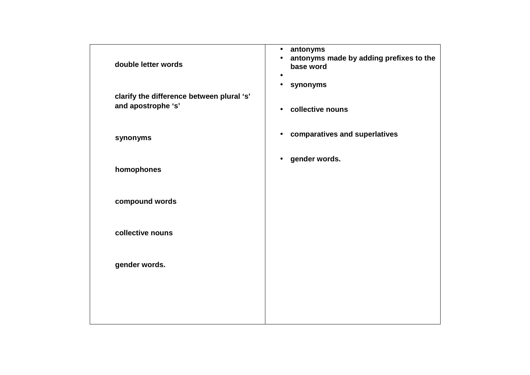| double letter words                                             | antonyms<br>$\bullet$<br>antonyms made by adding prefixes to the<br>$\bullet$<br>base word |
|-----------------------------------------------------------------|--------------------------------------------------------------------------------------------|
| clarify the difference between plural 's'<br>and apostrophe 's' | synonyms<br>collective nouns<br>$\bullet$                                                  |
| synonyms                                                        | comparatives and superlatives                                                              |
| homophones                                                      | gender words.<br>$\bullet$                                                                 |
| compound words                                                  |                                                                                            |
| collective nouns                                                |                                                                                            |
| gender words.                                                   |                                                                                            |
|                                                                 |                                                                                            |
|                                                                 |                                                                                            |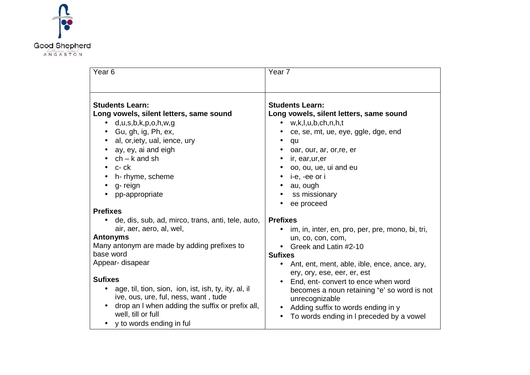

| Year <sub>6</sub>                                                                                                                                                                                                                | Year <sub>7</sub>                                                                                                                                                                                                                                           |
|----------------------------------------------------------------------------------------------------------------------------------------------------------------------------------------------------------------------------------|-------------------------------------------------------------------------------------------------------------------------------------------------------------------------------------------------------------------------------------------------------------|
| <b>Students Learn:</b><br>Long vowels, silent letters, same sound<br>d, u, s, b, k, p, o, h, w, g<br>Gu, gh, ig, Ph, ex,<br>$\bullet$<br>al, or,iety, ual, ience, ury<br>ay, ey, ai and eigh                                     | <b>Students Learn:</b><br>Long vowels, silent letters, same sound<br>w, k, l, u, b, ch, n, h, t<br>$\bullet$<br>ce, se, mt, ue, eye, ggle, dge, end<br>qu<br>$\bullet$<br>oar, our, ar, or, re, er                                                          |
| $ch - k$ and sh<br>$\bullet$ c-ck<br>h- rhyme, scheme<br>g-reign<br>pp-appropriate<br><b>Prefixes</b>                                                                                                                            | ir, ear, ur, er<br>$\bullet$<br>oo, ou, ue, ui and eu<br>i-e, -ee or i<br>au, ough<br>$\bullet$<br>ss missionary<br>$\bullet$<br>ee proceed<br>$\bullet$                                                                                                    |
| • de, dis, sub, ad, mirco, trans, anti, tele, auto,<br>air, aer, aero, al, wel,<br><b>Antonyms</b><br>Many antonym are made by adding prefixes to<br>base word<br>Appear- disapear                                               | <b>Prefixes</b><br>im, in, inter, en, pro, per, pre, mono, bi, tri,<br>un, co, con, com,<br>Greek and Latin #2-10<br>$\bullet$<br><b>Sufixes</b><br>Ant, ent, ment, able, ible, ence, ance, ary,                                                            |
| <b>Sufixes</b><br>age, til, tion, sion, ion, ist, ish, ty, ity, al, il<br>ive, ous, ure, ful, ness, want, tude<br>drop an I when adding the suffix or prefix all,<br>well, till or full<br>y to words ending in ful<br>$\bullet$ | ery, ory, ese, eer, er, est<br>End, ent-convert to ence when word<br>$\bullet$<br>becomes a noun retaining "e' so word is not<br>unrecognizable<br>Adding suffix to words ending in y<br>$\bullet$<br>To words ending in I preceded by a vowel<br>$\bullet$ |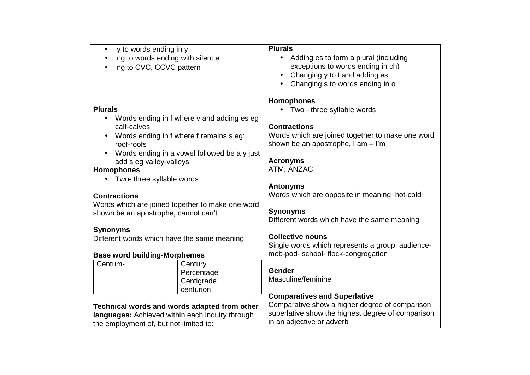| ly to words ending in y<br>$\bullet$<br>ing to words ending with silent e<br>ing to CVC, CCVC pattern |                                              | <b>Plurals</b><br>Adding es to form a plural (including<br>exceptions to words ending in ch)<br>Changing y to I and adding es<br>$\bullet$ |  |  |  |  |
|-------------------------------------------------------------------------------------------------------|----------------------------------------------|--------------------------------------------------------------------------------------------------------------------------------------------|--|--|--|--|
|                                                                                                       |                                              | Changing s to words ending in o                                                                                                            |  |  |  |  |
|                                                                                                       |                                              | Homophones                                                                                                                                 |  |  |  |  |
| <b>Plurals</b>                                                                                        |                                              | • Two - three syllable words                                                                                                               |  |  |  |  |
| $\bullet$                                                                                             | Words ending in f where v and adding es eg   |                                                                                                                                            |  |  |  |  |
| calf-calves                                                                                           |                                              | <b>Contractions</b>                                                                                                                        |  |  |  |  |
| $\bullet$<br>roof-roofs                                                                               | Words ending in f where f remains s eg:      | Words which are joined together to make one word<br>shown be an apostrophe, I am - I'm                                                     |  |  |  |  |
|                                                                                                       | Words ending in a vowel followed be a y just |                                                                                                                                            |  |  |  |  |
| add s eg valley-valleys<br><b>Homophones</b>                                                          |                                              | <b>Acronyms</b><br>ATM, ANZAC                                                                                                              |  |  |  |  |
| Two-three syllable words                                                                              |                                              |                                                                                                                                            |  |  |  |  |
|                                                                                                       |                                              | <b>Antonyms</b>                                                                                                                            |  |  |  |  |
| <b>Contractions</b>                                                                                   |                                              | Words which are opposite in meaning hot-cold                                                                                               |  |  |  |  |
| Words which are joined together to make one word                                                      |                                              |                                                                                                                                            |  |  |  |  |
| shown be an apostrophe, cannot can't                                                                  |                                              | <b>Synonyms</b>                                                                                                                            |  |  |  |  |
|                                                                                                       |                                              | Different words which have the same meaning                                                                                                |  |  |  |  |
| <b>Synonyms</b>                                                                                       |                                              | <b>Collective nouns</b>                                                                                                                    |  |  |  |  |
| Different words which have the same meaning                                                           |                                              | Single words which represents a group: audience-                                                                                           |  |  |  |  |
| <b>Base word building-Morphemes</b>                                                                   |                                              | mob-pod- school- flock-congregation                                                                                                        |  |  |  |  |
| Centum-                                                                                               | Century                                      |                                                                                                                                            |  |  |  |  |
|                                                                                                       | Percentage                                   | Gender                                                                                                                                     |  |  |  |  |
| Centigrade<br>centurion                                                                               |                                              | Masculine/feminine                                                                                                                         |  |  |  |  |
|                                                                                                       |                                              |                                                                                                                                            |  |  |  |  |
|                                                                                                       |                                              | <b>Comparatives and Superlative</b><br>Comparative show a higher degree of comparison,                                                     |  |  |  |  |
| Technical words and words adapted from other                                                          |                                              | superlative show the highest degree of comparison                                                                                          |  |  |  |  |
| languages: Achieved within each inquiry through<br>the employment of, but not limited to:             |                                              | in an adjective or adverb                                                                                                                  |  |  |  |  |
|                                                                                                       |                                              |                                                                                                                                            |  |  |  |  |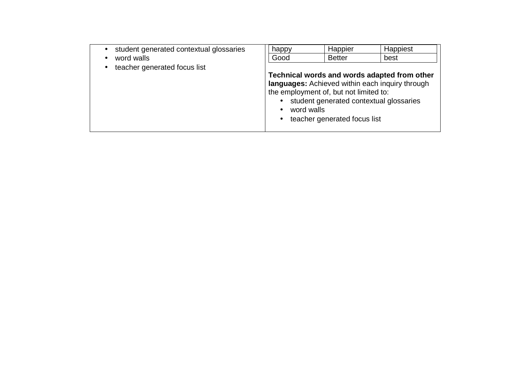| student generated contextual glossaries | happy                                | Happier                                                                                                                                                                                                              | Happiest |
|-----------------------------------------|--------------------------------------|----------------------------------------------------------------------------------------------------------------------------------------------------------------------------------------------------------------------|----------|
| word walls                              | Good                                 | <b>Better</b>                                                                                                                                                                                                        | best     |
| teacher generated focus list            | word walls<br>$\bullet$<br>$\bullet$ | Technical words and words adapted from other<br>languages: Achieved within each inquiry through<br>the employment of, but not limited to:<br>student generated contextual glossaries<br>teacher generated focus list |          |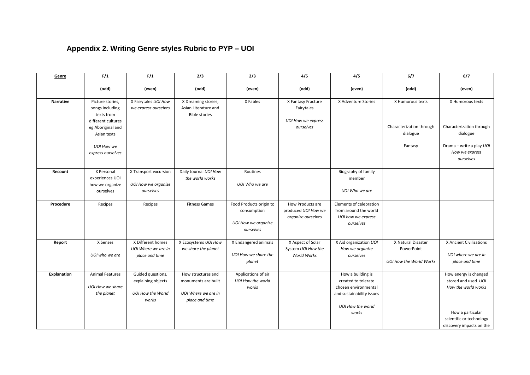## **Appendix 2. Writing Genre styles Rubric to PYP – UOI**

| Genre            | F/1                                                                                          | F/1                                                                          | 2/3                                                                                | 2/3                                                                               | 4/5                                                                        | 4/5                                                                                                                         | 6/7                                                                | 6/7                                                                                                                                             |
|------------------|----------------------------------------------------------------------------------------------|------------------------------------------------------------------------------|------------------------------------------------------------------------------------|-----------------------------------------------------------------------------------|----------------------------------------------------------------------------|-----------------------------------------------------------------------------------------------------------------------------|--------------------------------------------------------------------|-------------------------------------------------------------------------------------------------------------------------------------------------|
|                  | (odd)                                                                                        | (even)                                                                       | (odd)                                                                              | (even)                                                                            | (odd)                                                                      | (even)                                                                                                                      | (odd)                                                              | (even)                                                                                                                                          |
| <b>Narrative</b> | Picture stories,<br>songs including<br>texts from<br>different cultures<br>eg Aboriginal and | X Fairytales UOI How<br>we express ourselves                                 | X Dreaming stories,<br>Asian Literature and<br><b>Bible stories</b>                | X Fables                                                                          | X Fantasy Fracture<br>Fairytales<br><b>UOI How we express</b><br>ourselves | X Adventure Stories                                                                                                         | X Humorous texts<br>Characterization through                       | X Humorous texts<br>Characterization through                                                                                                    |
|                  | Asian texts                                                                                  |                                                                              |                                                                                    |                                                                                   |                                                                            |                                                                                                                             | dialogue                                                           | dialogue                                                                                                                                        |
|                  | UOI How we<br>express ourselves                                                              |                                                                              |                                                                                    |                                                                                   |                                                                            |                                                                                                                             | Fantasy                                                            | Drama - write a play UOI<br>How we express<br>ourselves                                                                                         |
| Recount          | X Personal<br>experiences UOI<br>how we organize<br>ourselves                                | X Transport excursion<br>UOI How we organize<br>ourselves                    | Daily Journal UOI How<br>the world works                                           | Routines<br>UOI Who we are                                                        |                                                                            | Biography of family<br>member<br>UOI Who we are                                                                             |                                                                    |                                                                                                                                                 |
| Procedure        | Recipes                                                                                      | Recipes                                                                      | <b>Fitness Games</b>                                                               | Food Products origin to<br>consumption<br><b>UOI How we organize</b><br>ourselves | How Products are<br>produced UOI How we<br>organize ourselves              | Elements of celebration<br>from around the world<br>UOI how we express<br>ourselves                                         |                                                                    |                                                                                                                                                 |
| Report           | X Senses<br>UOI who we are                                                                   | X Different homes<br>UOI Where we are in<br>place and time                   | X Ecosystems UOI How<br>we share the planet                                        | X Endangered animals<br>UOI How we share the<br>planet                            | X Aspect of Solar<br>System UOI How the<br><b>World Works</b>              | X Aid organization UOI<br>How we organize<br>ourselves                                                                      | X Natural Disaster<br>PowerPoint<br><b>UOI How the World Works</b> | X Ancient Civilizations<br>UOI where we are in<br>place and time                                                                                |
| Explanation      | <b>Animal Features</b><br>UOI How we share<br>the planet                                     | Guided questions,<br>explaining objects<br><b>UOI How the World</b><br>works | How structures and<br>monuments are built<br>UOI Where we are in<br>place and time | Applications of air<br>UOI How the world<br>works                                 |                                                                            | How a building is<br>created to tolerate<br>chosen environmental<br>and sustainability issues<br>UOI How the world<br>works |                                                                    | How energy is changed<br>stored and used UOI<br>How the world works<br>How a particular<br>scientific or technology<br>discovery impacts on the |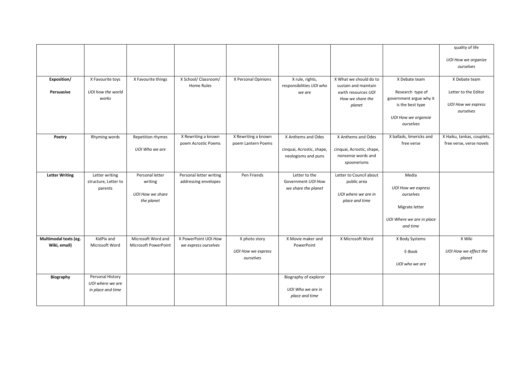|                       |                                      |                                |                         |                     |                                                  |                                                 |                           | quality of life            |
|-----------------------|--------------------------------------|--------------------------------|-------------------------|---------------------|--------------------------------------------------|-------------------------------------------------|---------------------------|----------------------------|
|                       |                                      |                                |                         |                     |                                                  |                                                 |                           | <b>UOI How we organize</b> |
|                       |                                      |                                |                         |                     |                                                  |                                                 |                           | ourselves                  |
|                       |                                      |                                |                         |                     |                                                  |                                                 |                           |                            |
| Exposition/           | X Favourite toys                     | X Favourite things             | X School/ Classroom/    | X Personal Opinions | X rule, rights,                                  | X What we should do to                          | X Debate team             | X Debate team              |
|                       |                                      |                                | Home Rules              |                     | responsibilities UOI who                         | sustain and maintain                            |                           |                            |
| Persuasive            | UOI how the world                    |                                |                         |                     | we are                                           | earth resources UOI                             | Research type of          | Letter to the Editor       |
|                       | works                                |                                |                         |                     |                                                  | How we share the                                | government argue why it   | <b>UOI How we express</b>  |
|                       |                                      |                                |                         |                     |                                                  | planet                                          | is the best type          | ourselves                  |
|                       |                                      |                                |                         |                     |                                                  |                                                 | UOI How we organsie       |                            |
|                       |                                      |                                |                         |                     |                                                  |                                                 | ourselves                 |                            |
|                       |                                      |                                |                         |                     |                                                  |                                                 |                           |                            |
| Poetry                | Rhyming words                        | Repetition rhymes              | X Rewriting a known     | X Rewriting a known | X Anthems and Odes                               | X Anthems and Odes                              | X ballads, limericks and  | X Haiku, tankas, couplets, |
|                       |                                      |                                | poem Acrostic Poems     | poem Lantern Poems  |                                                  |                                                 | free verse                | free verse, verse novels   |
|                       |                                      | UOI Who we are                 |                         |                     | cinquai, Acrostic, shape,<br>neologisms and puns | cinquai, Acrostic, shape,<br>nonsense words and |                           |                            |
|                       |                                      |                                |                         |                     |                                                  | spoonerisms                                     |                           |                            |
|                       |                                      |                                |                         |                     |                                                  |                                                 |                           |                            |
| <b>Letter Writing</b> | Letter writing                       | Personal letter                | Personal letter writing | Pen Friends         | Letter to the                                    | Letter to Council about                         | Media                     |                            |
|                       | structure, Letter to                 | writing                        | addressing envelopes    |                     | Government UOI How                               | public area                                     |                           |                            |
|                       | parents                              |                                |                         |                     | we share the planet                              |                                                 | <b>UOI How we express</b> |                            |
|                       |                                      | UOI How we share<br>the planet |                         |                     |                                                  | UOI where we are in<br>place and time           | ourselves                 |                            |
|                       |                                      |                                |                         |                     |                                                  |                                                 | Migrate letter            |                            |
|                       |                                      |                                |                         |                     |                                                  |                                                 |                           |                            |
|                       |                                      |                                |                         |                     |                                                  |                                                 | UOI Where we are in place |                            |
|                       |                                      |                                |                         |                     |                                                  |                                                 | and time                  |                            |
| Multimodal texts (eg. | KidPix and                           | Microsoft Word and             | X PowerPoint UOI How    | X photo story       | X Movie maker and                                | X Microsoft Word                                | X Body Systems            | X Wiki                     |
| Wiki, email)          | Microsoft Word                       | Microsoft PowerPoint           | we express ourselves    |                     | PowerPoint                                       |                                                 |                           |                            |
|                       |                                      |                                |                         | UOI How we express  |                                                  |                                                 | E-Book                    | UOI How we effect the      |
|                       |                                      |                                |                         | ourselves           |                                                  |                                                 |                           | planet                     |
|                       |                                      |                                |                         |                     |                                                  |                                                 | UOI who we are            |                            |
|                       |                                      |                                |                         |                     |                                                  |                                                 |                           |                            |
| Biography             | Personal History<br>UOI where we are |                                |                         |                     | Biography of explorer                            |                                                 |                           |                            |
|                       | in place and time                    |                                |                         |                     | UOI Who we are in                                |                                                 |                           |                            |
|                       |                                      |                                |                         |                     | place and time                                   |                                                 |                           |                            |
|                       |                                      |                                |                         |                     |                                                  |                                                 |                           |                            |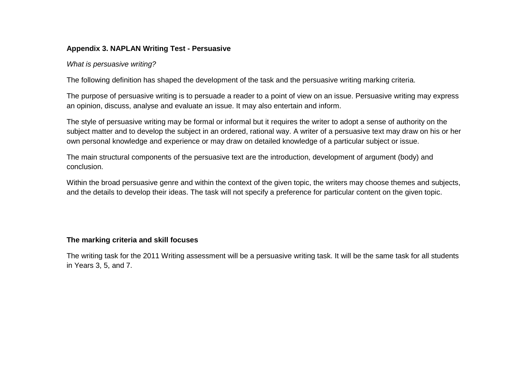## **Appendix 3. NAPLAN Writing Test - Persuasive**

## What is persuasive writing?

The following definition has shaped the development of the task and the persuasive writing marking criteria.

The purpose of persuasive writing is to persuade a reader to a point of view on an issue. Persuasive writing may express an opinion, discuss, analyse and evaluate an issue. It may also entertain and inform.

The style of persuasive writing may be formal or informal but it requires the writer to adopt a sense of authority on the subject matter and to develop the subject in an ordered, rational way. A writer of a persuasive text may draw on his or her own personal knowledge and experience or may draw on detailed knowledge of a particular subject or issue.

The main structural components of the persuasive text are the introduction, development of argument (body) and conclusion.

Within the broad persuasive genre and within the context of the given topic, the writers may choose themes and subjects, and the details to develop their ideas. The task will not specify a preference for particular content on the given topic.

## **The marking criteria and skill focuses**

The writing task for the 2011 Writing assessment will be a persuasive writing task. It will be the same task for all students in Years 3, 5, and 7.